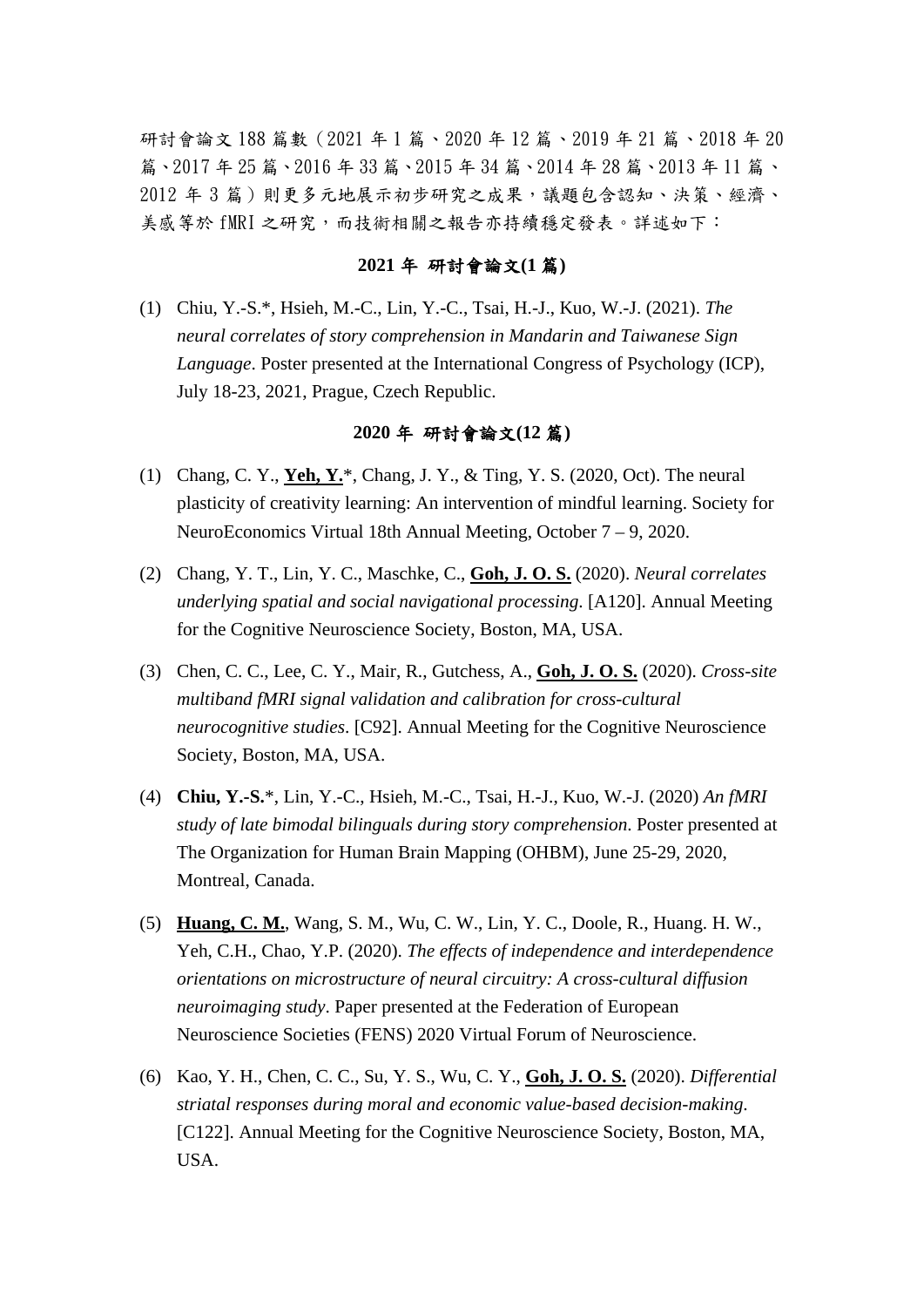研討會論文 188 篇數(2021 年 1 篇、2020 年 12 篇、2019 年 21 篇、2018 年 20 篇、2017 年 25 篇、2016 年 33 篇、2015 年 34 篇、2014 年 28 篇、2013 年 11 篇、 2012 年 3 篇)則更多元地展示初步研究之成果,議題包含認知、決策、經濟、 美感等於 fMRI 之研究,而技術相關之報告亦持續穩定發表。詳述如下:

### **2021** 年 研討會論文**(1** 篇**)**

(1) Chiu, Y.-S.\*, Hsieh, M.-C., Lin, Y.-C., Tsai, H.-J., Kuo, W.-J. (2021). *The neural correlates of story comprehension in Mandarin and Taiwanese Sign Language*. Poster presented at the International Congress of Psychology (ICP), July 18-23, 2021, Prague, Czech Republic.

#### **2020** 年 研討會論文**(12** 篇**)**

- (1) Chang, C. Y., **Yeh, Y.**\*, Chang, J. Y., & Ting, Y. S. (2020, Oct). The neural plasticity of creativity learning: An intervention of mindful learning. Society for NeuroEconomics Virtual 18th Annual Meeting, October 7 – 9, 2020.
- (2) Chang, Y. T., Lin, Y. C., Maschke, C., **Goh, J. O. S.** (2020). *Neural correlates underlying spatial and social navigational processing*. [A120]. Annual Meeting for the Cognitive Neuroscience Society, Boston, MA, USA.
- (3) Chen, C. C., Lee, C. Y., Mair, R., Gutchess, A., **Goh, J. O. S.** (2020). *Cross-site multiband fMRI signal validation and calibration for cross-cultural neurocognitive studies*. [C92]. Annual Meeting for the Cognitive Neuroscience Society, Boston, MA, USA.
- (4) **Chiu, Y.-S.**\*, Lin, Y.-C., Hsieh, M.-C., Tsai, H.-J., Kuo, W.-J. (2020) *An fMRI study of late bimodal bilinguals during story comprehension*. Poster presented at The Organization for Human Brain Mapping (OHBM), June 25-29, 2020, Montreal, Canada.
- (5) **Huang, C. M.**, Wang, S. M., Wu, C. W., Lin, Y. C., Doole, R., Huang. H. W., Yeh, C.H., Chao, Y.P. (2020). *The effects of independence and interdependence orientations on microstructure of neural circuitry: A cross-cultural diffusion neuroimaging study*. Paper presented at the Federation of European Neuroscience Societies (FENS) 2020 Virtual Forum of Neuroscience.
- (6) Kao, Y. H., Chen, C. C., Su, Y. S., Wu, C. Y., **Goh, J. O. S.** (2020). *Differential striatal responses during moral and economic value-based decision-making*. [C122]. Annual Meeting for the Cognitive Neuroscience Society, Boston, MA, USA.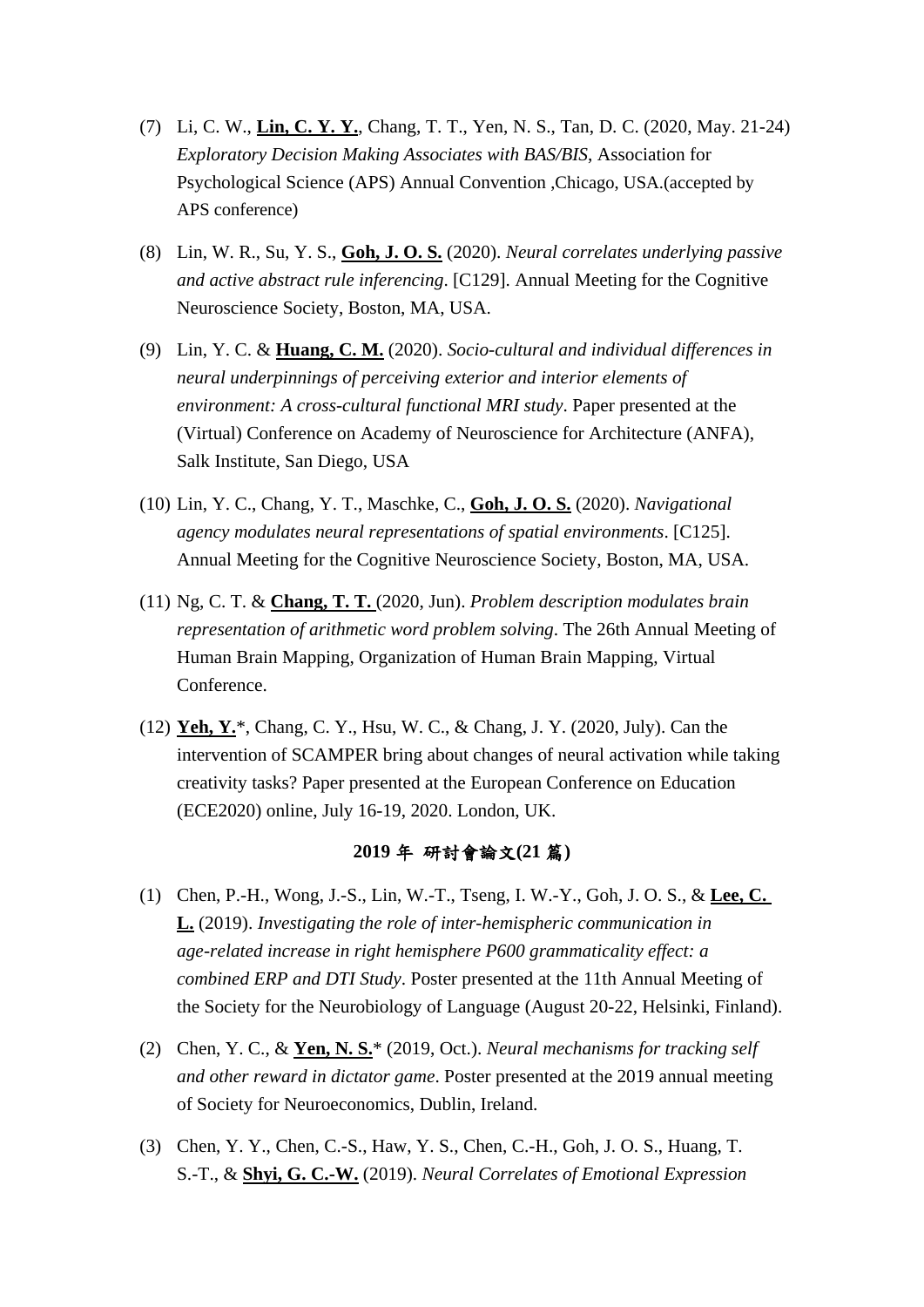- (7) Li, C. W., **Lin, C. Y. Y.**, Chang, T. T., Yen, N. S., Tan, D. C. (2020, May. 21-24) *Exploratory Decision Making Associates with BAS/BIS*, Association for Psychological Science (APS) Annual Convention ,Chicago, USA.(accepted by APS conference)
- (8) Lin, W. R., Su, Y. S., **Goh, J. O. S.** (2020). *Neural correlates underlying passive and active abstract rule inferencing*. [C129]. Annual Meeting for the Cognitive Neuroscience Society, Boston, MA, USA.
- (9) Lin, Y. C. & **Huang, C. M.** (2020). *Socio-cultural and individual differences in neural underpinnings of perceiving exterior and interior elements of environment: A cross-cultural functional MRI study*. Paper presented at the (Virtual) Conference on Academy of Neuroscience for Architecture (ANFA), Salk Institute, San Diego, USA
- (10) Lin, Y. C., Chang, Y. T., Maschke, C., **Goh, J. O. S.** (2020). *Navigational agency modulates neural representations of spatial environments*. [C125]. Annual Meeting for the Cognitive Neuroscience Society, Boston, MA, USA.
- (11) Ng, C. T. & **Chang, T. T.** (2020, Jun). *Problem description modulates brain representation of arithmetic word problem solving*. The 26th Annual Meeting of Human Brain Mapping, Organization of Human Brain Mapping, Virtual Conference.
- (12) **Yeh, Y.**\*, Chang, C. Y., Hsu, W. C., & Chang, J. Y. (2020, July). Can the intervention of SCAMPER bring about changes of neural activation while taking creativity tasks? Paper presented at the European Conference on Education (ECE2020) online, July 16-19, 2020. London, UK.

# **2019** 年 研討會論文**(21** 篇**)**

- (1) Chen, P.-H., Wong, J.-S., Lin, W.-T., Tseng, I. W.-Y., Goh, J. O. S., & **Lee, C. L.** (2019). *Investigating the role of inter-hemispheric communication in age-related increase in right hemisphere P600 grammaticality effect: a combined ERP and DTI Study*. Poster presented at the 11th Annual Meeting of the Society for the Neurobiology of Language (August 20-22, Helsinki, Finland).
- (2) Chen, Y. C., & **Yen, N. S.**\* (2019, Oct.). *Neural mechanisms for tracking self and other reward in dictator game*. Poster presented at the 2019 annual meeting of Society for Neuroeconomics, Dublin, Ireland.
- (3) Chen, Y. Y., Chen, C.-S., Haw, Y. S., Chen, C.-H., Goh, J. O. S., Huang, T. S.-T., & **Shyi, G. C.-W.** (2019). *Neural Correlates of Emotional Expression*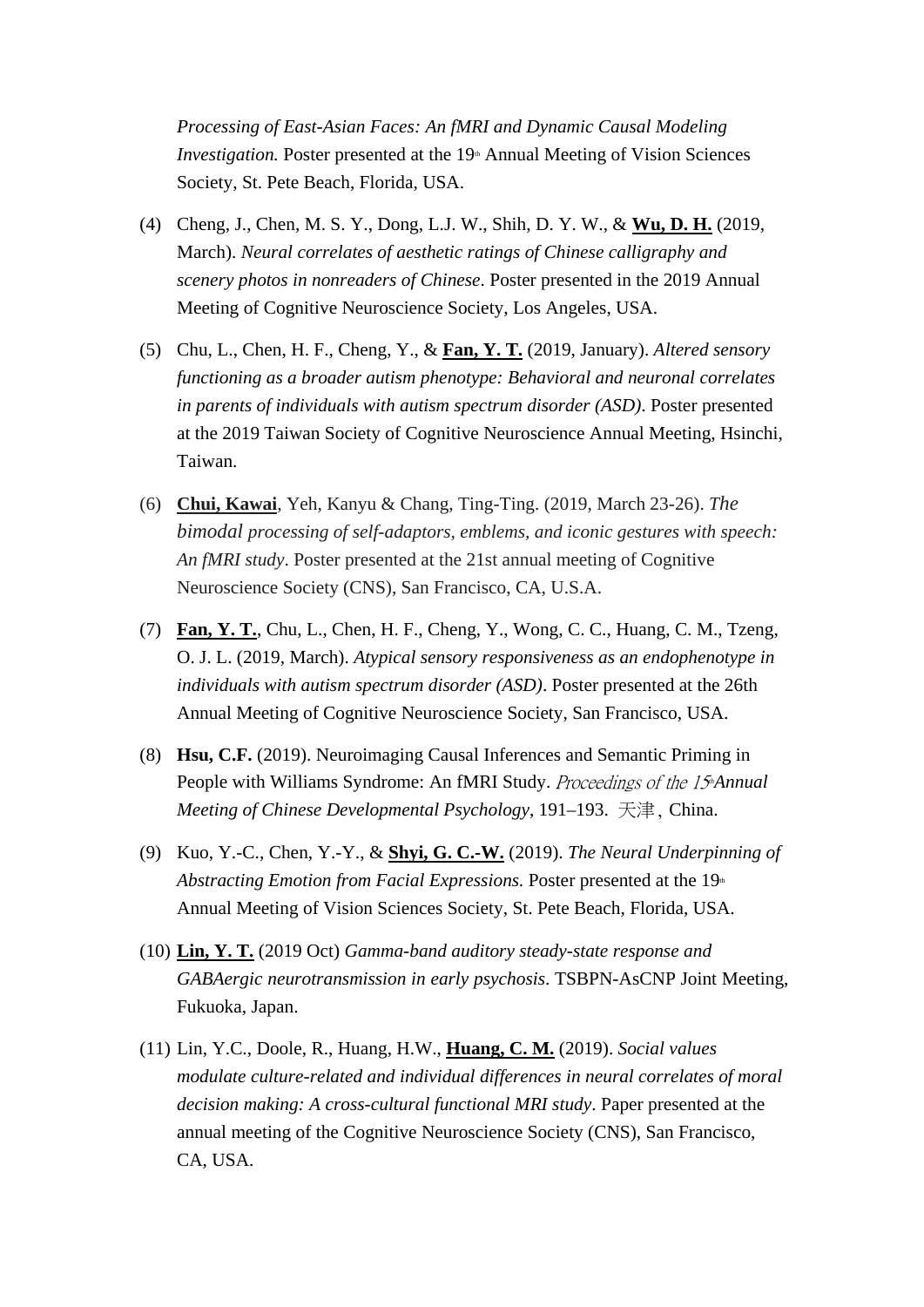*Processing of East-Asian Faces: An fMRI and Dynamic Causal Modeling Investigation.* Poster presented at the 19<sup>th</sup> Annual Meeting of Vision Sciences Society, St. Pete Beach, Florida, USA.

- (4) Cheng, J., Chen, M. S. Y., Dong, L.J. W., Shih, D. Y. W., & **Wu, D. H.** (2019, March). *Neural correlates of aesthetic ratings of Chinese calligraphy and scenery photos in nonreaders of Chinese*. Poster presented in the 2019 Annual Meeting of Cognitive Neuroscience Society, Los Angeles, USA.
- (5) Chu, L., Chen, H. F., Cheng, Y., & **Fan, Y. T.** (2019, January). *Altered sensory functioning as a broader autism phenotype: Behavioral and neuronal correlates in parents of individuals with autism spectrum disorder (ASD)*. Poster presented at the 2019 Taiwan Society of Cognitive Neuroscience Annual Meeting, Hsinchi, Taiwan.
- (6) **Chui, Kawai**, Yeh, Kanyu & Chang, Ting-Ting. (2019, March 23-26). *The bimodal processing of self-adaptors, emblems, and iconic gestures with speech: An fMRI study*. Poster presented at the 21st annual meeting of Cognitive Neuroscience Society (CNS), San Francisco, CA, U.S.A.
- (7) **Fan, Y. T.**, Chu, L., Chen, H. F., Cheng, Y., Wong, C. C., Huang, C. M., Tzeng, O. J. L. (2019, March). *Atypical sensory responsiveness as an endophenotype in individuals with autism spectrum disorder (ASD)*. Poster presented at the 26th Annual Meeting of Cognitive Neuroscience Society, San Francisco, USA.
- (8) **Hsu, C.F.** (2019). Neuroimaging Causal Inferences and Semantic Priming in People with Williams Syndrome: An fMRI Study. Proceedings of the 15<sup>th</sup>Annual *Meeting of Chinese Developmental Psychology*, 191–193. 天津, China.
- (9) Kuo, Y.-C., Chen, Y.-Y., & **Shyi, G. C.-W.** (2019). *The Neural Underpinning of Abstracting Emotion from Facial Expressions.* Poster presented at the 19<sup>th</sup> Annual Meeting of Vision Sciences Society, St. Pete Beach, Florida, USA.
- (10) **Lin, Y. T.** (2019 Oct) *Gamma-band auditory steady-state response and GABAergic neurotransmission in early psychosis*. TSBPN-AsCNP Joint Meeting, Fukuoka, Japan.
- (11) Lin, Y.C., Doole, R., Huang, H.W., **Huang, C. M.** (2019). *Social values modulate culture-related and individual differences in neural correlates of moral decision making: A cross-cultural functional MRI study*. Paper presented at the annual meeting of the Cognitive Neuroscience Society (CNS), San Francisco, CA, USA.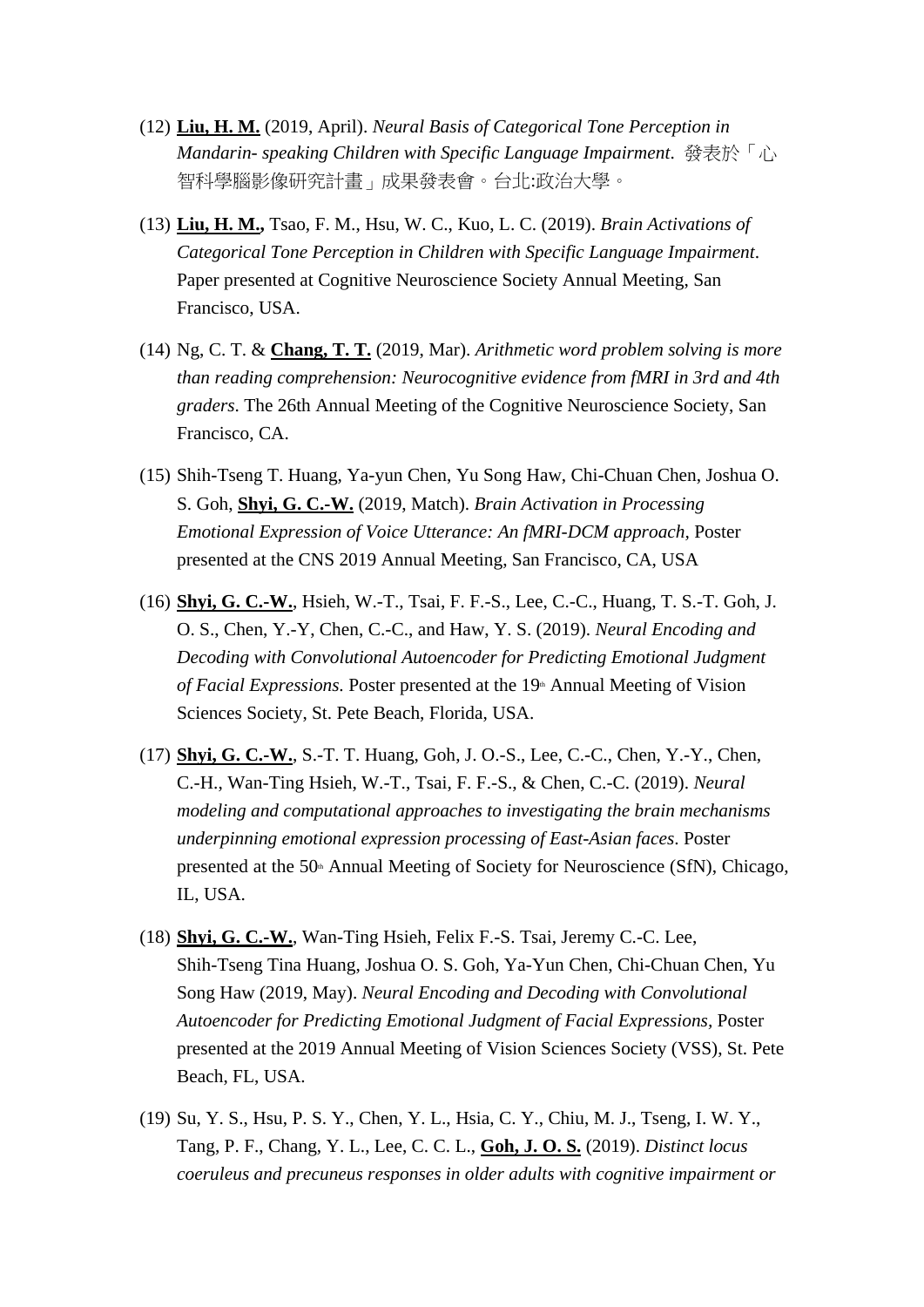- (12) **Liu, H. M.** (2019, April). *Neural Basis of Categorical Tone Perception in Mandarin- speaking Children with Specific Language Impairment*. 發表於「心 智科學腦影像研究計畫」成果發表會。台北:政治大學。
- (13) **Liu, H. M.,** Tsao, F. M., Hsu, W. C., Kuo, L. C. (2019). *Brain Activations of Categorical Tone Perception in Children with Specific Language Impairment*. Paper presented at Cognitive Neuroscience Society Annual Meeting, San Francisco, USA.
- (14) Ng, C. T. & **Chang, T. T.** (2019, Mar). *Arithmetic word problem solving is more than reading comprehension: Neurocognitive evidence from fMRI in 3rd and 4th graders*. The 26th Annual Meeting of the Cognitive Neuroscience Society, San Francisco, CA.
- (15) Shih-Tseng T. Huang, Ya-yun Chen, Yu Song Haw, Chi-Chuan Chen, Joshua O. S. Goh, **Shyi, G. C.-W.** (2019, Match). *Brain Activation in Processing Emotional Expression of Voice Utterance: An fMRI-DCM approach,* Poster presented at the CNS 2019 Annual Meeting, San Francisco, CA, USA
- (16) **Shyi, G. C.-W.**, Hsieh, W.-T., Tsai, F. F.-S., Lee, C.-C., Huang, T. S.-T. Goh, J. O. S., Chen, Y.-Y, Chen, C.-C., and Haw, Y. S. (2019). *Neural Encoding and Decoding with Convolutional Autoencoder for Predicting Emotional Judgment of Facial Expressions.* Poster presented at the 19<sup>th</sup> Annual Meeting of Vision Sciences Society, St. Pete Beach, Florida, USA.
- (17) **Shyi, G. C.-W.**, S.-T. T. Huang, Goh, J. O.-S., Lee, C.-C., Chen, Y.-Y., Chen, C.-H., Wan-Ting Hsieh, W.-T., Tsai, F. F.-S., & Chen, C.-C. (2019). *Neural modeling and computational approaches to investigating the brain mechanisms underpinning emotional expression processing of East-Asian faces*. Poster presented at the  $50<sup>th</sup>$  Annual Meeting of Society for Neuroscience (SfN), Chicago, IL, USA.
- (18) **Shyi, G. C.-W.**, Wan-Ting Hsieh, Felix F.-S. Tsai, Jeremy C.-C. Lee, Shih-Tseng Tina Huang, Joshua O. S. Goh, Ya-Yun Chen, Chi-Chuan Chen, Yu Song Haw (2019, May). *Neural Encoding and Decoding with Convolutional Autoencoder for Predicting Emotional Judgment of Facial Expressions,* Poster presented at the 2019 Annual Meeting of Vision Sciences Society (VSS), St. Pete Beach, FL, USA.
- (19) Su, Y. S., Hsu, P. S. Y., Chen, Y. L., Hsia, C. Y., Chiu, M. J., Tseng, I. W. Y., Tang, P. F., Chang, Y. L., Lee, C. C. L., **Goh, J. O. S.** (2019). *Distinct locus coeruleus and precuneus responses in older adults with cognitive impairment or*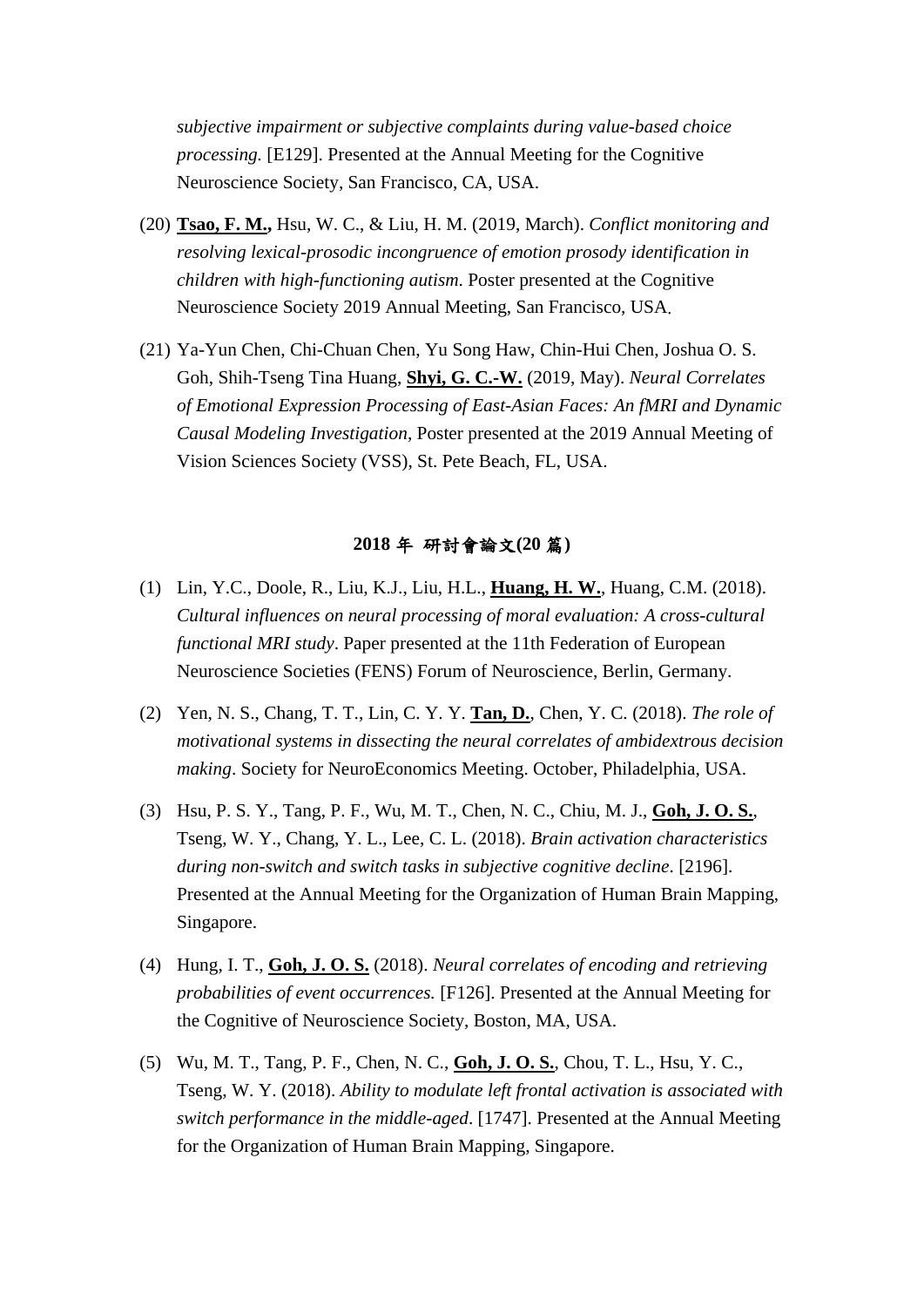*subjective impairment or subjective complaints during value-based choice processing.* [E129]. Presented at the Annual Meeting for the Cognitive Neuroscience Society, San Francisco, CA, USA.

- (20) **Tsao, F. M.,** Hsu, W. C., & Liu, H. M. (2019, March). *Conflict monitoring and resolving lexical-prosodic incongruence of emotion prosody identification in children with high-functioning autism*. Poster presented at the Cognitive Neuroscience Society 2019 Annual Meeting, San Francisco, USA.
- (21) Ya-Yun Chen, Chi-Chuan Chen, Yu Song Haw, Chin-Hui Chen, Joshua O. S. Goh, Shih-Tseng Tina Huang, **Shyi, G. C.-W.** (2019, May). *Neural Correlates of Emotional Expression Processing of East-Asian Faces: An fMRI and Dynamic Causal Modeling Investigation,* Poster presented at the 2019 Annual Meeting of Vision Sciences Society (VSS), St. Pete Beach, FL, USA.

## **2018** 年 研討會論文**(20** 篇**)**

- (1) Lin, Y.C., Doole, R., Liu, K.J., Liu, H.L., **Huang, H. W.**, Huang, C.M. (2018). *Cultural influences on neural processing of moral evaluation: A cross-cultural functional MRI study*. Paper presented at the 11th Federation of European Neuroscience Societies (FENS) Forum of Neuroscience, Berlin, Germany.
- (2) Yen, N. S., Chang, T. T., Lin, C. Y. Y. **Tan, D.**, Chen, Y. C. (2018). *The role of motivational systems in dissecting the neural correlates of ambidextrous decision making*. Society for NeuroEconomics Meeting. October, Philadelphia, USA.
- (3) Hsu, P. S. Y., Tang, P. F., Wu, M. T., Chen, N. C., Chiu, M. J., **Goh, J. O. S.**, Tseng, W. Y., Chang, Y. L., Lee, C. L. (2018). *Brain activation characteristics during non-switch and switch tasks in subjective cognitive decline*. [2196]. Presented at the Annual Meeting for the Organization of Human Brain Mapping, Singapore.
- (4) Hung, I. T., **Goh, J. O. S.** (2018). *Neural correlates of encoding and retrieving probabilities of event occurrences.* [F126]. Presented at the Annual Meeting for the Cognitive of Neuroscience Society, Boston, MA, USA.
- (5) Wu, M. T., Tang, P. F., Chen, N. C., **Goh, J. O. S.**, Chou, T. L., Hsu, Y. C., Tseng, W. Y. (2018). *Ability to modulate left frontal activation is associated with switch performance in the middle-aged*. [1747]. Presented at the Annual Meeting for the Organization of Human Brain Mapping, Singapore.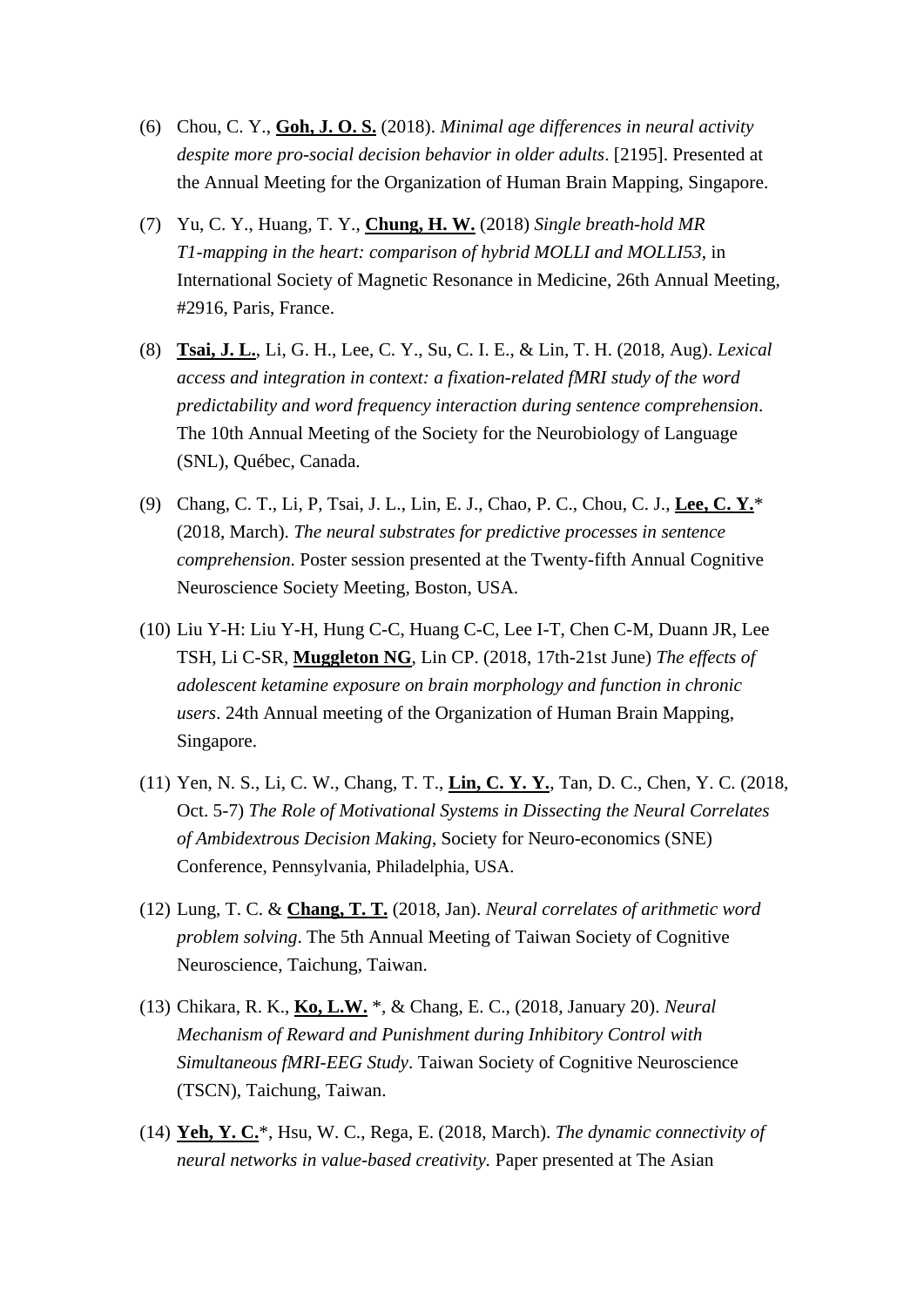- (6) Chou, C. Y., **Goh, J. O. S.** (2018). *Minimal age differences in neural activity despite more pro-social decision behavior in older adults*. [2195]. Presented at the Annual Meeting for the Organization of Human Brain Mapping, Singapore.
- (7) Yu, C. Y., Huang, T. Y., **Chung, H. W.** (2018) *Single breath-hold MR T1-mapping in the heart: comparison of hybrid MOLLI and MOLLI53*, in International Society of Magnetic Resonance in Medicine, 26th Annual Meeting, #2916, Paris, France.
- (8) **Tsai, J. L.**, Li, G. H., Lee, C. Y., Su, C. I. E., & Lin, T. H. (2018, Aug). *Lexical access and integration in context: a fixation-related fMRI study of the word predictability and word frequency interaction during sentence comprehension*. The 10th Annual Meeting of the Society for the Neurobiology of Language (SNL), Québec, Canada.
- (9) Chang, C. T., Li, P, Tsai, J. L., Lin, E. J., Chao, P. C., Chou, C. J., **Lee, C. Y.**\* (2018, March). *The neural substrates for predictive processes in sentence comprehension*. Poster session presented at the Twenty-fifth Annual Cognitive Neuroscience Society Meeting, Boston, USA.
- (10) Liu Y-H: Liu Y-H, Hung C-C, Huang C-C, Lee I-T, Chen C-M, Duann JR, Lee TSH, Li C-SR, **Muggleton NG**, Lin CP. (2018, 17th-21st June) *The effects of adolescent ketamine exposure on brain morphology and function in chronic users*. 24th Annual meeting of the Organization of Human Brain Mapping, Singapore.
- (11) Yen, N. S., Li, C. W., Chang, T. T., **Lin, C. Y. Y.**, Tan, D. C., Chen, Y. C. (2018, Oct. 5-7) *The Role of Motivational Systems in Dissecting the Neural Correlates of Ambidextrous Decision Making*, Society for Neuro-economics (SNE) Conference, Pennsylvania, Philadelphia, USA.
- (12) Lung, T. C. & **Chang, T. T.** (2018, Jan). *Neural correlates of arithmetic word problem solving*. The 5th Annual Meeting of Taiwan Society of Cognitive Neuroscience, Taichung, Taiwan.
- (13) Chikara, R. K., **Ko, L.W.** \*, & Chang, E. C., (2018, January 20). *Neural Mechanism of Reward and Punishment during Inhibitory Control with Simultaneous fMRI-EEG Study*. Taiwan Society of Cognitive Neuroscience (TSCN), Taichung, Taiwan.
- (14) **Yeh, Y. C.**\*, Hsu, W. C., Rega, E. (2018, March). *The dynamic connectivity of neural networks in value-based creativity.* Paper presented at The Asian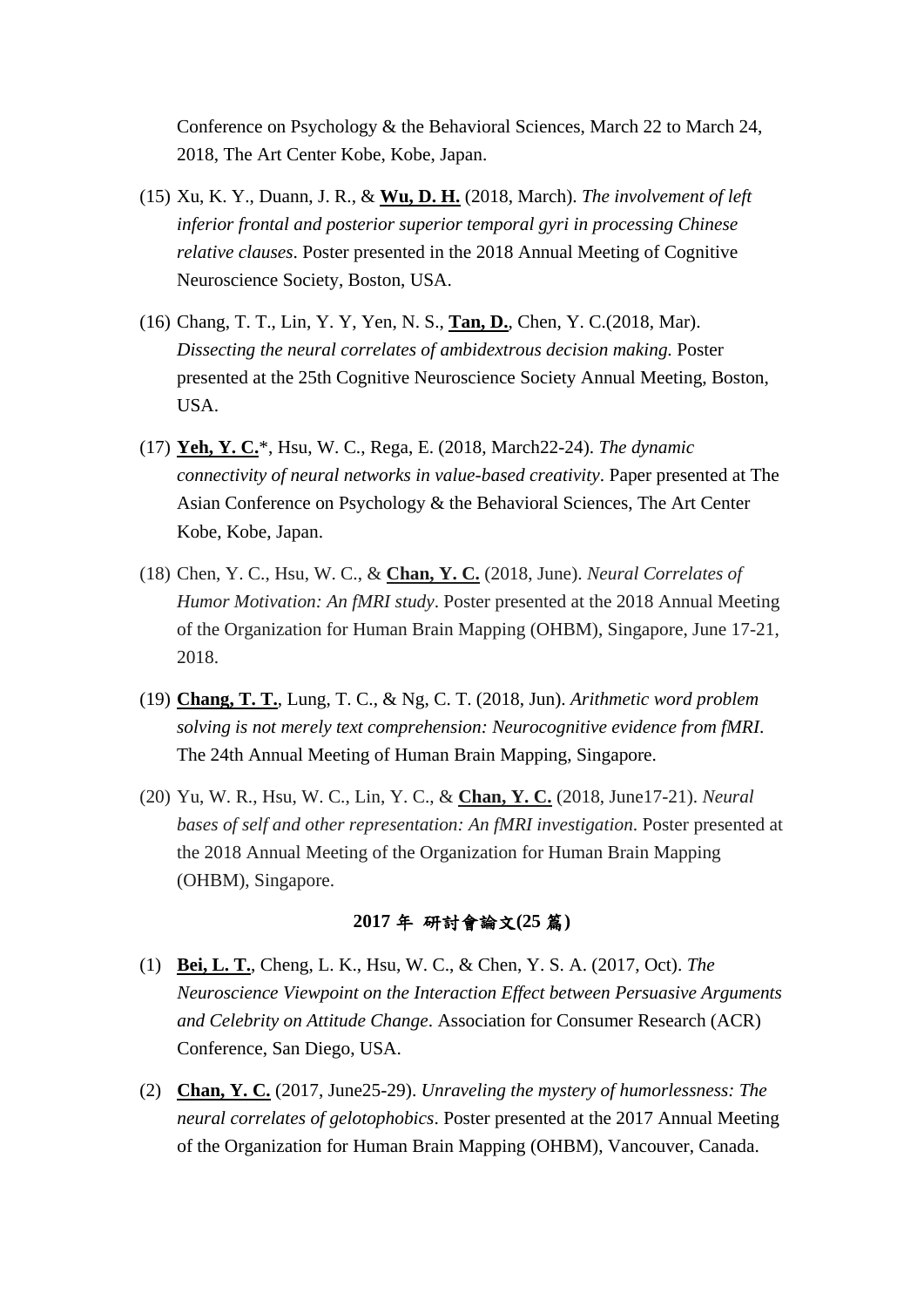Conference on Psychology & the Behavioral Sciences, March 22 to March 24, 2018, The Art Center Kobe, Kobe, Japan.

- (15) Xu, K. Y., Duann, J. R., & **Wu, D. H.** (2018, March). *The involvement of left inferior frontal and posterior superior temporal gyri in processing Chinese relative clauses*. Poster presented in the 2018 Annual Meeting of Cognitive Neuroscience Society, Boston, USA.
- (16) Chang, T. T., Lin, Y. Y, Yen, N. S., **Tan, D.**, Chen, Y. C.(2018, Mar). *Dissecting the neural correlates of ambidextrous decision making.* Poster presented at the 25th Cognitive Neuroscience Society Annual Meeting, Boston, USA.
- (17) **Yeh, Y. C.**\*, Hsu, W. C., Rega, E. (2018, March22-24). *The dynamic connectivity of neural networks in value-based creativity*. Paper presented at The Asian Conference on Psychology & the Behavioral Sciences, The Art Center Kobe, Kobe, Japan.
- (18) Chen, Y. C., Hsu, W. C., & **Chan, Y. C.** (2018, June). *Neural Correlates of Humor Motivation: An fMRI study*. Poster presented at the 2018 Annual Meeting of the Organization for Human Brain Mapping (OHBM), Singapore, June 17-21, 2018.
- (19) **Chang, T. T.**, Lung, T. C., & Ng, C. T. (2018, Jun). *Arithmetic word problem solving is not merely text comprehension: Neurocognitive evidence from fMRI*. The 24th Annual Meeting of Human Brain Mapping, Singapore.
- (20) Yu, W. R., Hsu, W. C., Lin, Y. C., & **Chan, Y. C.** (2018, June17-21). *Neural bases of self and other representation: An fMRI investigation*. Poster presented at the 2018 Annual Meeting of the Organization for Human Brain Mapping (OHBM), Singapore.

### **2017** 年 研討會論文**(25** 篇**)**

- (1) **Bei, L. T.**, Cheng, L. K., Hsu, W. C., & Chen, Y. S. A. (2017, Oct). *The Neuroscience Viewpoint on the Interaction Effect between Persuasive Arguments and Celebrity on Attitude Change*. Association for Consumer Research (ACR) Conference, San Diego, USA.
- (2) **Chan, Y. C.** (2017, June25-29). *Unraveling the mystery of humorlessness: The neural correlates of gelotophobics*. Poster presented at the 2017 Annual Meeting of the Organization for Human Brain Mapping (OHBM), Vancouver, Canada.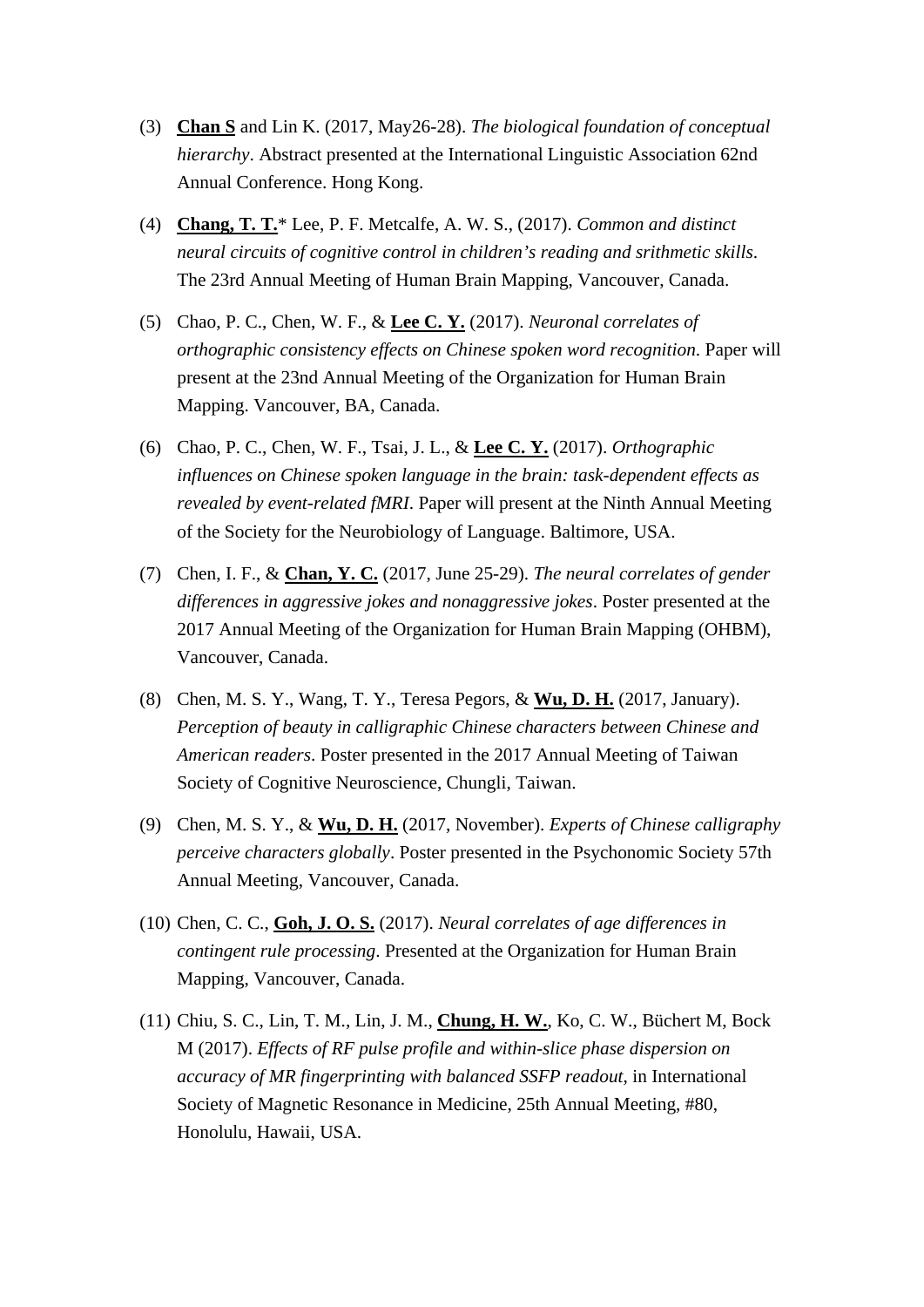- (3) **Chan S** and Lin K. (2017, May26-28). *The biological foundation of conceptual hierarchy*. Abstract presented at the International Linguistic Association 62nd Annual Conference. Hong Kong.
- (4) **Chang, T. T.**\* Lee, P. F. Metcalfe, A. W. S., (2017). *Common and distinct neural circuits of cognitive control in children's reading and srithmetic skills*. The 23rd Annual Meeting of Human Brain Mapping, Vancouver, Canada.
- (5) Chao, P. C., Chen, W. F., & **Lee C. Y.** (2017). *Neuronal correlates of orthographic consistency effects on Chinese spoken word recognition*. Paper will present at the 23nd Annual Meeting of the Organization for Human Brain Mapping. Vancouver, BA, Canada.
- (6) Chao, P. C., Chen, W. F., Tsai, J. L., & **Lee C. Y.** (2017). *Orthographic influences on Chinese spoken language in the brain: task-dependent effects as revealed by event-related fMRI*. Paper will present at the Ninth Annual Meeting of the Society for the Neurobiology of Language. Baltimore, USA.
- (7) Chen, I. F., & **Chan, Y. C.** (2017, June 25-29). *The neural correlates of gender differences in aggressive jokes and nonaggressive jokes*. Poster presented at the 2017 Annual Meeting of the Organization for Human Brain Mapping (OHBM), Vancouver, Canada.
- (8) Chen, M. S. Y., Wang, T. Y., Teresa Pegors, & **Wu, D. H.** (2017, January). *Perception of beauty in calligraphic Chinese characters between Chinese and American readers*. Poster presented in the 2017 Annual Meeting of Taiwan Society of Cognitive Neuroscience, Chungli, Taiwan.
- (9) Chen, M. S. Y., & **Wu, D. H.** (2017, November). *Experts of Chinese calligraphy perceive characters globally*. Poster presented in the Psychonomic Society 57th Annual Meeting, Vancouver, Canada.
- (10) Chen, C. C., **Goh, J. O. S.** (2017). *Neural correlates of age differences in contingent rule processing*. Presented at the Organization for Human Brain Mapping, Vancouver, Canada.
- (11) Chiu, S. C., Lin, T. M., Lin, J. M., **Chung, H. W.**, Ko, C. W., Büchert M, Bock M (2017). *Effects of RF pulse profile and within-slice phase dispersion on accuracy of MR fingerprinting with balanced SSFP readout*, in International Society of Magnetic Resonance in Medicine, 25th Annual Meeting, #80, Honolulu, Hawaii, USA.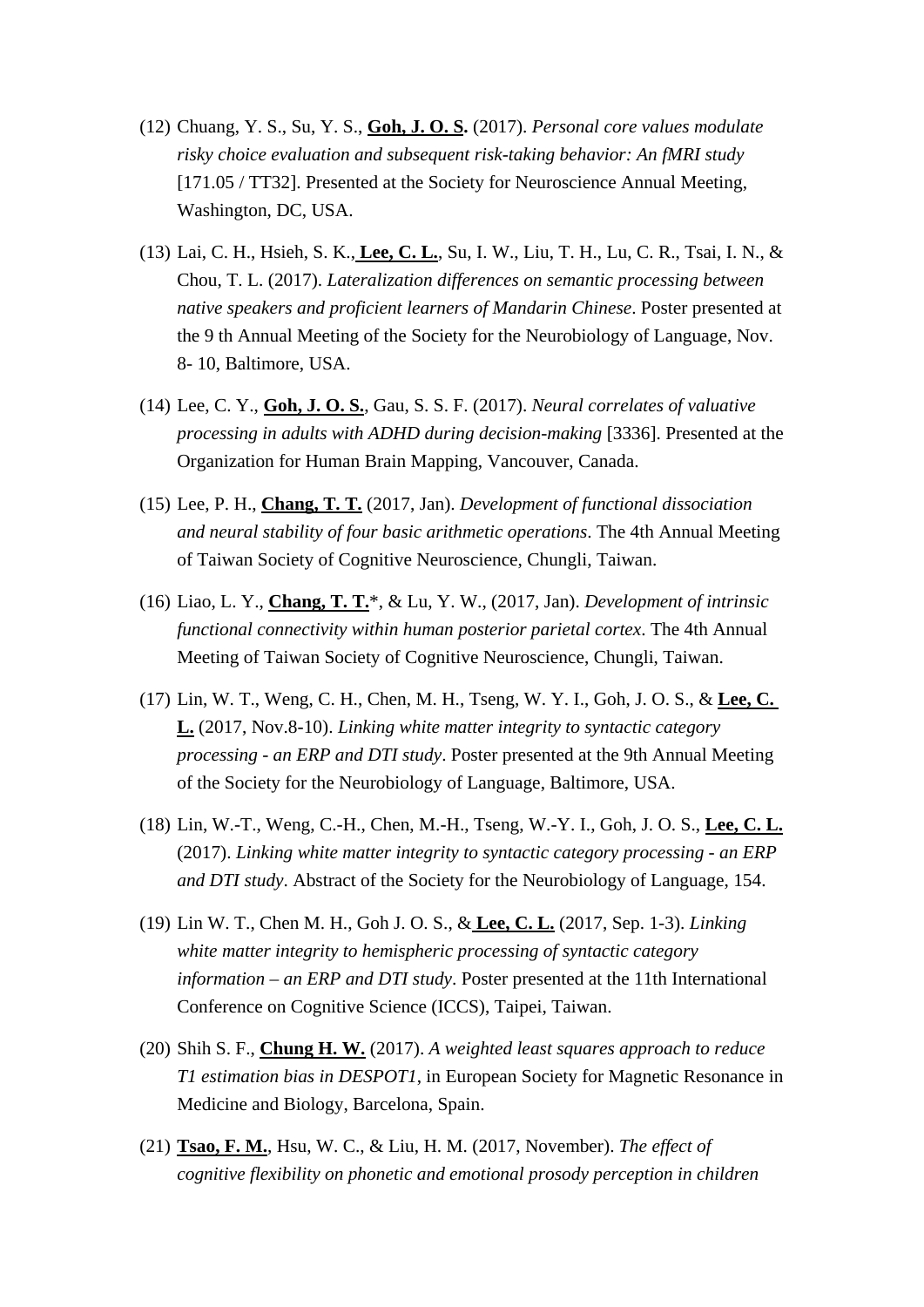- (12) Chuang, Y. S., Su, Y. S., **Goh, J. O. S.** (2017). *Personal core values modulate risky choice evaluation and subsequent risk-taking behavior: An fMRI study* [171.05 / TT32]. Presented at the Society for Neuroscience Annual Meeting, Washington, DC, USA.
- (13) Lai, C. H., Hsieh, S. K., **Lee, C. L.**, Su, I. W., Liu, T. H., Lu, C. R., Tsai, I. N., & Chou, T. L. (2017). *Lateralization differences on semantic processing between native speakers and proficient learners of Mandarin Chinese*. Poster presented at the 9 th Annual Meeting of the Society for the Neurobiology of Language, Nov. 8- 10, Baltimore, USA.
- (14) Lee, C. Y., **Goh, J. O. S.**, Gau, S. S. F. (2017). *Neural correlates of valuative processing in adults with ADHD during decision-making* [3336]. Presented at the Organization for Human Brain Mapping, Vancouver, Canada.
- (15) Lee, P. H., **Chang, T. T.** (2017, Jan). *Development of functional dissociation and neural stability of four basic arithmetic operations*. The 4th Annual Meeting of Taiwan Society of Cognitive Neuroscience, Chungli, Taiwan.
- (16) Liao, L. Y., **Chang, T. T.**\*, & Lu, Y. W., (2017, Jan). *Development of intrinsic functional connectivity within human posterior parietal cortex*. The 4th Annual Meeting of Taiwan Society of Cognitive Neuroscience, Chungli, Taiwan.
- (17) Lin, W. T., Weng, C. H., Chen, M. H., Tseng, W. Y. I., Goh, J. O. S., & **Lee, C. L.** (2017, Nov.8-10). *Linking white matter integrity to syntactic category processing - an ERP and DTI study*. Poster presented at the 9th Annual Meeting of the Society for the Neurobiology of Language, Baltimore, USA.
- (18) Lin, W.-T., Weng, C.-H., Chen, M.-H., Tseng, W.-Y. I., Goh, J. O. S., **Lee, C. L.** (2017). *Linking white matter integrity to syntactic category processing - an ERP and DTI study*. Abstract of the Society for the Neurobiology of Language, 154.
- (19) Lin W. T., Chen M. H., Goh J. O. S., & **Lee, C. L.** (2017, Sep. 1-3). *Linking white matter integrity to hemispheric processing of syntactic category information – an ERP and DTI study*. Poster presented at the 11th International Conference on Cognitive Science (ICCS), Taipei, Taiwan.
- (20) Shih S. F., **Chung H. W.** (2017). *A weighted least squares approach to reduce T1 estimation bias in DESPOT1*, in European Society for Magnetic Resonance in Medicine and Biology, Barcelona, Spain.
- (21) **Tsao, F. M.**, Hsu, W. C., & Liu, H. M. (2017, November). *The effect of cognitive flexibility on phonetic and emotional prosody perception in children*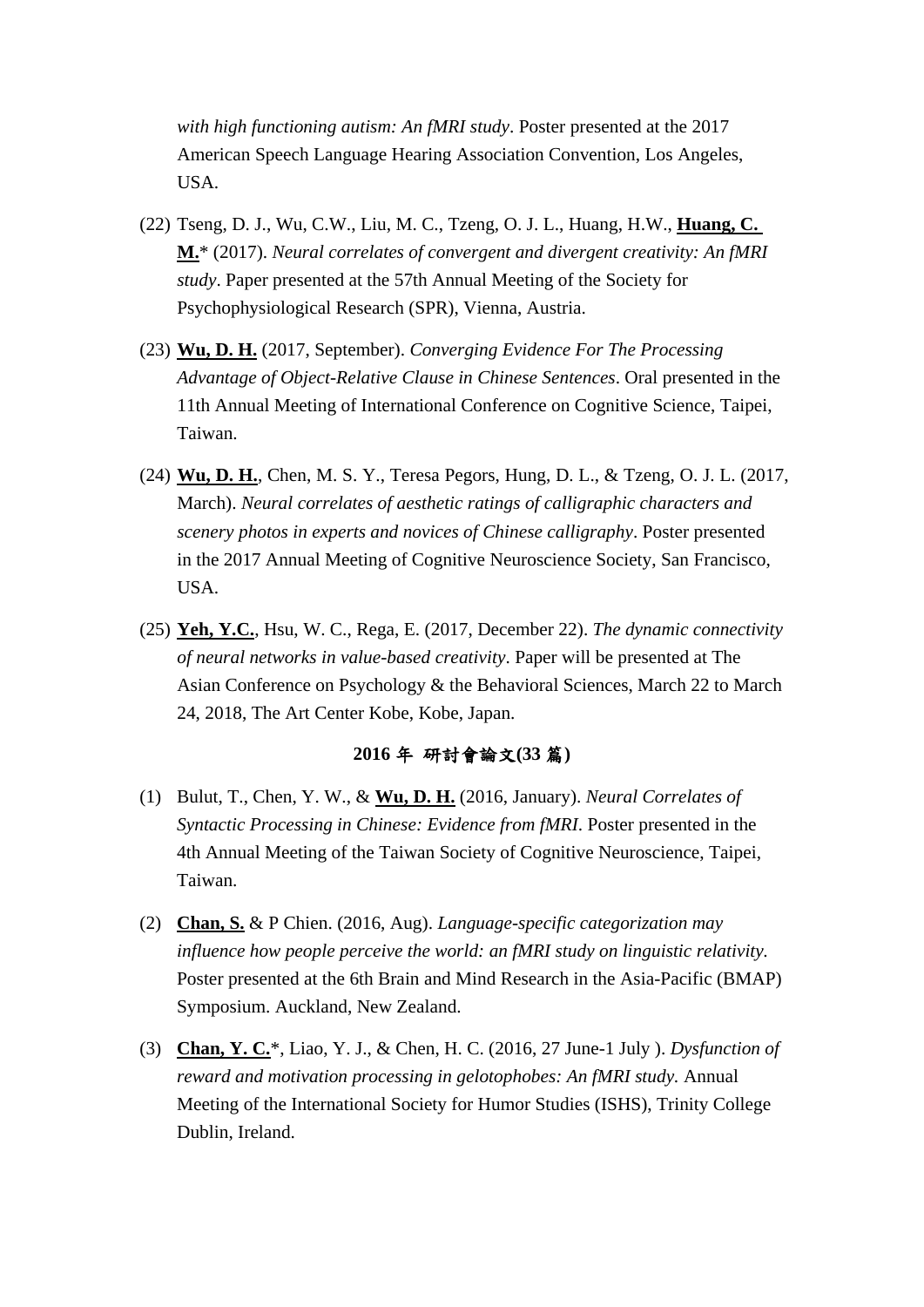*with high functioning autism: An fMRI study*. Poster presented at the 2017 American Speech Language Hearing Association Convention, Los Angeles, USA.

- (22) Tseng, D. J., Wu, C.W., Liu, M. C., Tzeng, O. J. L., Huang, H.W., **Huang, C. M.**\* (2017). *Neural correlates of convergent and divergent creativity: An fMRI study*. Paper presented at the 57th Annual Meeting of the Society for Psychophysiological Research (SPR), Vienna, Austria.
- (23) **Wu, D. H.** (2017, September). *Converging Evidence For The Processing Advantage of Object-Relative Clause in Chinese Sentences*. Oral presented in the 11th Annual Meeting of International Conference on Cognitive Science, Taipei, Taiwan.
- (24) **Wu, D. H.**, Chen, M. S. Y., Teresa Pegors, Hung, D. L., & Tzeng, O. J. L. (2017, March). *Neural correlates of aesthetic ratings of calligraphic characters and scenery photos in experts and novices of Chinese calligraphy*. Poster presented in the 2017 Annual Meeting of Cognitive Neuroscience Society, San Francisco, USA.
- (25) **Yeh, Y.C.**, Hsu, W. C., Rega, E. (2017, December 22). *The dynamic connectivity of neural networks in value-based creativity*. Paper will be presented at The Asian Conference on Psychology & the Behavioral Sciences, March 22 to March 24, 2018, The Art Center Kobe, Kobe, Japan.

#### **2016** 年 研討會論文**(33** 篇**)**

- (1) Bulut, T., Chen, Y. W., & **Wu, D. H.** (2016, January). *Neural Correlates of Syntactic Processing in Chinese: Evidence from fMRI*. Poster presented in the 4th Annual Meeting of the Taiwan Society of Cognitive Neuroscience, Taipei, Taiwan.
- (2) **Chan, S.** & P Chien. (2016, Aug). *Language-specific categorization may influence how people perceive the world: an fMRI study on linguistic relativity.* Poster presented at the 6th Brain and Mind Research in the Asia-Pacific (BMAP) Symposium. Auckland, New Zealand.
- (3) **Chan, Y. C.**\*, Liao, Y. J., & Chen, H. C. (2016, 27 June-1 July ). *Dysfunction of reward and motivation processing in gelotophobes: An fMRI study.* Annual Meeting of the International Society for Humor Studies (ISHS), Trinity College Dublin, Ireland.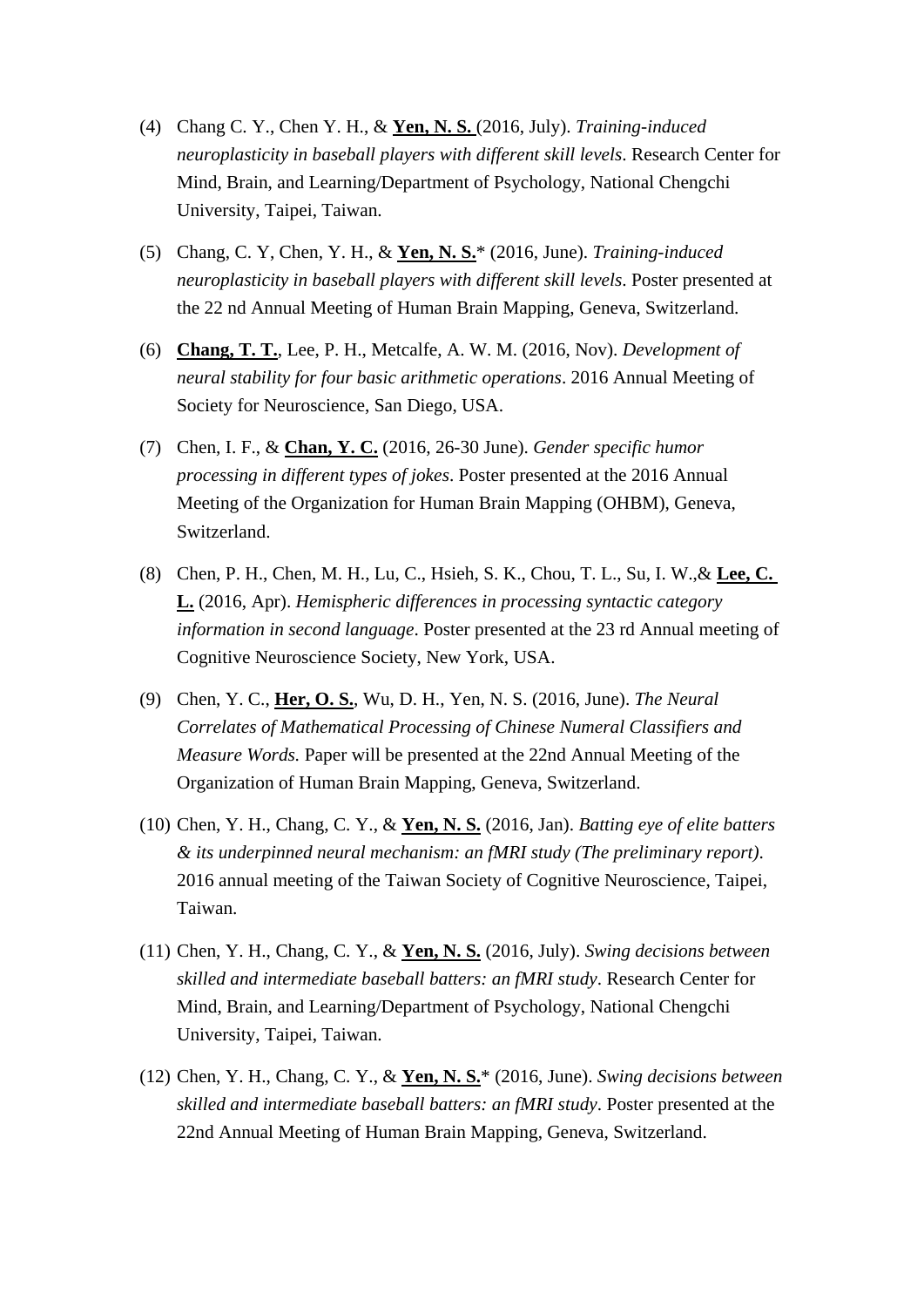- (4) Chang C. Y., Chen Y. H., & **Yen, N. S.** (2016, July). *Training-induced neuroplasticity in baseball players with different skill levels*. Research Center for Mind, Brain, and Learning/Department of Psychology, National Chengchi University, Taipei, Taiwan.
- (5) Chang, C. Y, Chen, Y. H., & **Yen, N. S.**\* (2016, June). *Training-induced neuroplasticity in baseball players with different skill levels*. Poster presented at the 22 nd Annual Meeting of Human Brain Mapping, Geneva, Switzerland.
- (6) **Chang, T. T.**, Lee, P. H., Metcalfe, A. W. M. (2016, Nov). *Development of neural stability for four basic arithmetic operations*. 2016 Annual Meeting of Society for Neuroscience, San Diego, USA.
- (7) Chen, I. F., & **Chan, Y. C.** (2016, 26-30 June). *Gender specific humor processing in different types of jokes*. Poster presented at the 2016 Annual Meeting of the Organization for Human Brain Mapping (OHBM), Geneva, Switzerland.
- (8) Chen, P. H., Chen, M. H., Lu, C., Hsieh, S. K., Chou, T. L., Su, I. W.,& **Lee, C. L.** (2016, Apr). *Hemispheric differences in processing syntactic category information in second language*. Poster presented at the 23 rd Annual meeting of Cognitive Neuroscience Society, New York, USA.
- (9) Chen, Y. C., **Her, O. S.**, Wu, D. H., Yen, N. S. (2016, June). *The Neural Correlates of Mathematical Processing of Chinese Numeral Classifiers and Measure Words.* Paper will be presented at the 22nd Annual Meeting of the Organization of Human Brain Mapping, Geneva, Switzerland.
- (10) Chen, Y. H., Chang, C. Y., & **Yen, N. S.** (2016, Jan). *Batting eye of elite batters & its underpinned neural mechanism: an fMRI study (The preliminary report)*. 2016 annual meeting of the Taiwan Society of Cognitive Neuroscience, Taipei, Taiwan.
- (11) Chen, Y. H., Chang, C. Y., & **Yen, N. S.** (2016, July). *Swing decisions between skilled and intermediate baseball batters: an fMRI study*. Research Center for Mind, Brain, and Learning/Department of Psychology, National Chengchi University, Taipei, Taiwan.
- (12) Chen, Y. H., Chang, C. Y., & **Yen, N. S.**\* (2016, June). *Swing decisions between skilled and intermediate baseball batters: an fMRI study*. Poster presented at the 22nd Annual Meeting of Human Brain Mapping, Geneva, Switzerland.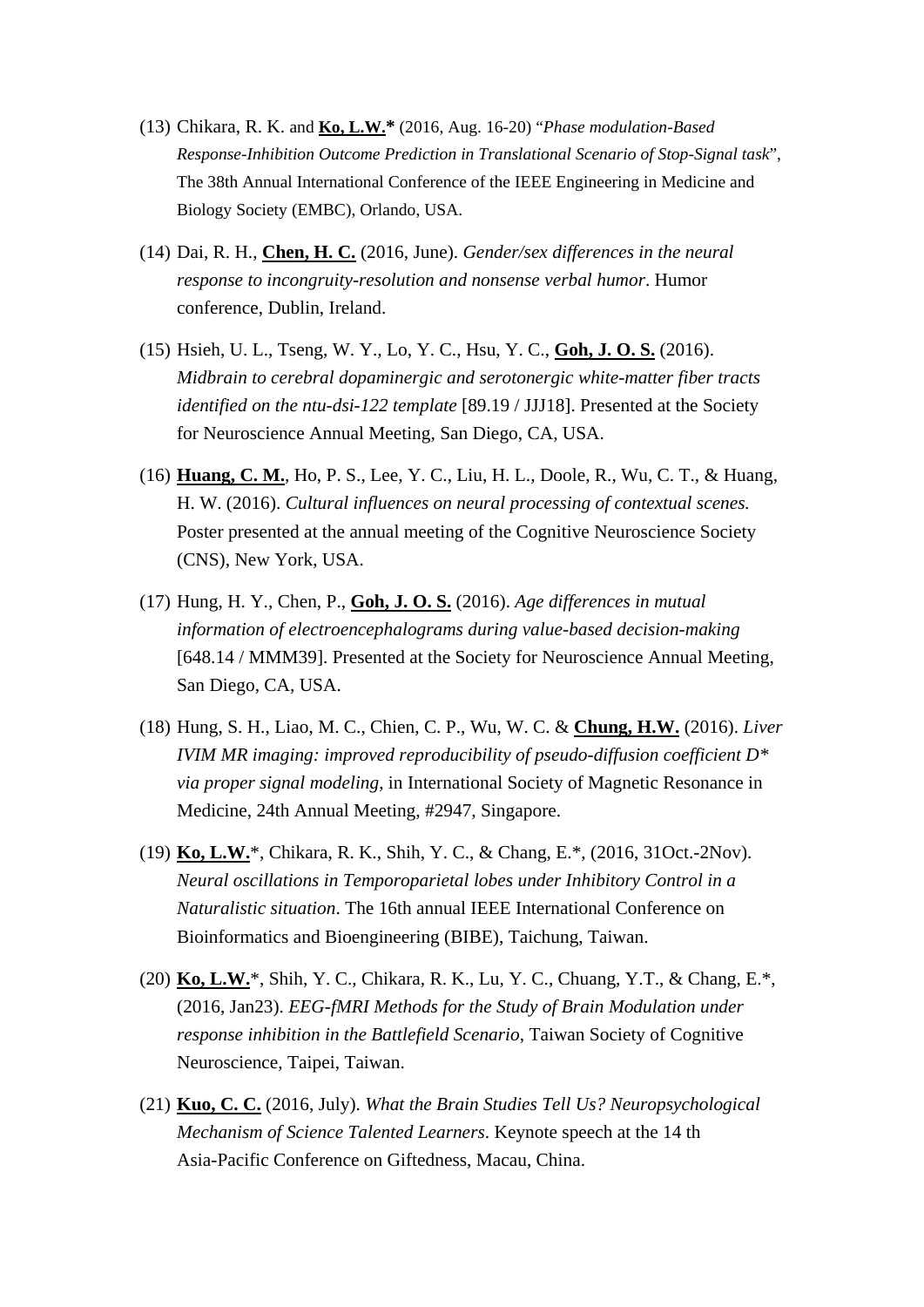- (13) Chikara, R. K. and **Ko, L.W.\*** (2016, Aug. 16-20) "*Phase modulation-Based Response-Inhibition Outcome Prediction in Translational Scenario of Stop-Signal task*", The 38th Annual International Conference of the IEEE Engineering in Medicine and Biology Society (EMBC), Orlando, USA.
- (14) Dai, R. H., **Chen, H. C.** (2016, June). *Gender/sex differences in the neural response to incongruity-resolution and nonsense verbal humor*. Humor conference, Dublin, Ireland.
- (15) Hsieh, U. L., Tseng, W. Y., Lo, Y. C., Hsu, Y. C., **Goh, J. O. S.** (2016). *Midbrain to cerebral dopaminergic and serotonergic white-matter fiber tracts identified on the ntu-dsi-122 template* [89.19 / JJJ18]. Presented at the Society for Neuroscience Annual Meeting, San Diego, CA, USA.
- (16) **Huang, C. M.**, Ho, P. S., Lee, Y. C., Liu, H. L., Doole, R., Wu, C. T., & Huang, H. W. (2016). *Cultural influences on neural processing of contextual scenes.*  Poster presented at the annual meeting of the Cognitive Neuroscience Society (CNS), New York, USA.
- (17) Hung, H. Y., Chen, P., **Goh, J. O. S.** (2016). *Age differences in mutual information of electroencephalograms during value-based decision-making* [648.14 / MMM39]. Presented at the Society for Neuroscience Annual Meeting, San Diego, CA, USA.
- (18) Hung, S. H., Liao, M. C., Chien, C. P., Wu, W. C. & **Chung, H.W.** (2016). *Liver IVIM MR imaging: improved reproducibility of pseudo-diffusion coefficient D\* via proper signal modeling*, in International Society of Magnetic Resonance in Medicine, 24th Annual Meeting, #2947, Singapore.
- (19) **Ko, L.W.**\*, Chikara, R. K., Shih, Y. C., & Chang, E.\*, (2016, 31Oct.-2Nov). *Neural oscillations in Temporoparietal lobes under Inhibitory Control in a Naturalistic situation*. The 16th annual IEEE International Conference on Bioinformatics and Bioengineering (BIBE), Taichung, Taiwan.
- (20) **Ko, L.W.**\*, Shih, Y. C., Chikara, R. K., Lu, Y. C., Chuang, Y.T., & Chang, E.\*, (2016, Jan23). *EEG-fMRI Methods for the Study of Brain Modulation under response inhibition in the Battlefield Scenario*, Taiwan Society of Cognitive Neuroscience, Taipei, Taiwan.
- (21) **Kuo, C. C.** (2016, July). *What the Brain Studies Tell Us? Neuropsychological Mechanism of Science Talented Learners*. Keynote speech at the 14 th Asia-Pacific Conference on Giftedness, Macau, China.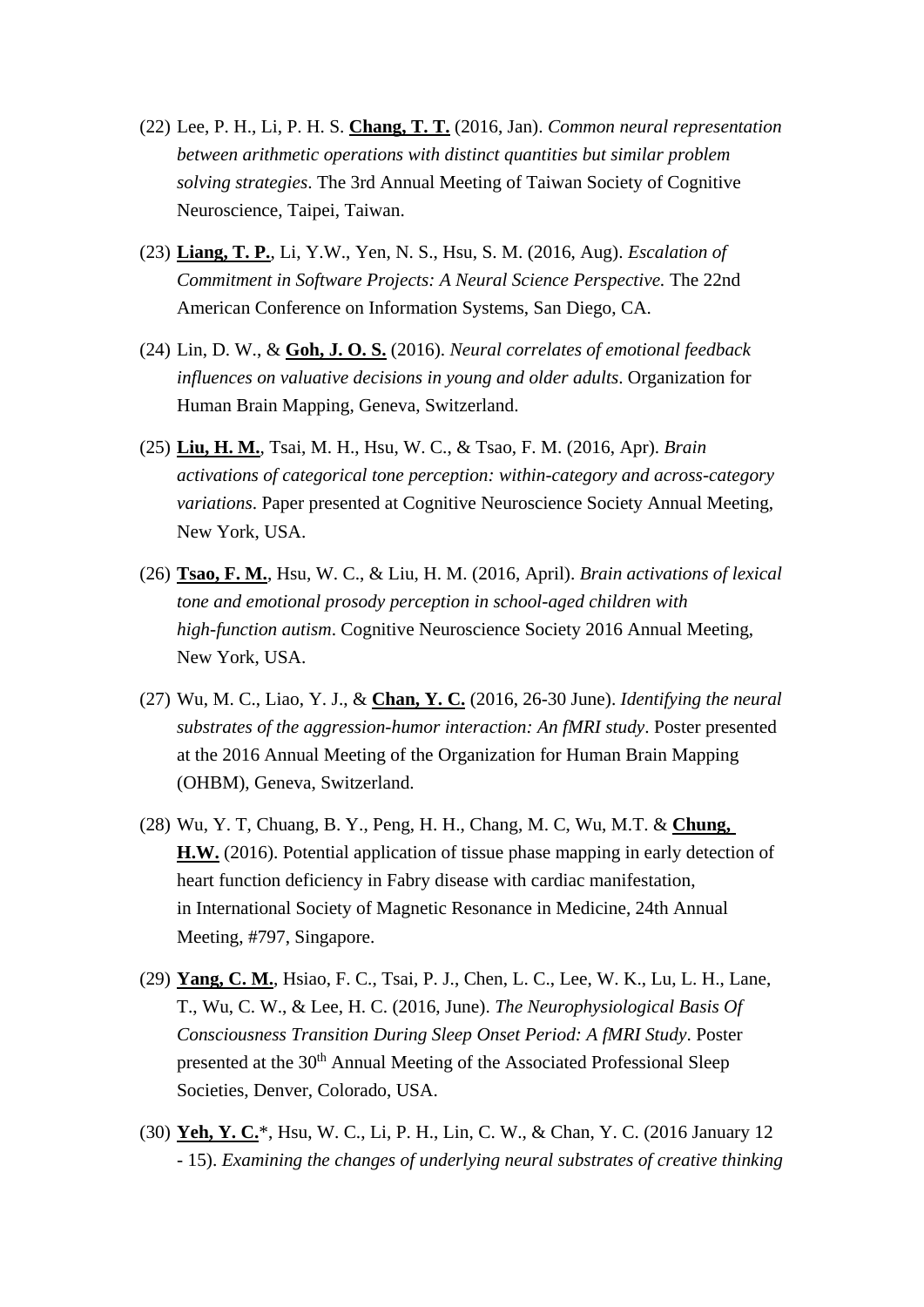- (22) Lee, P. H., Li, P. H. S. **Chang, T. T.** (2016, Jan). *Common neural representation between arithmetic operations with distinct quantities but similar problem solving strategies*. The 3rd Annual Meeting of Taiwan Society of Cognitive Neuroscience, Taipei, Taiwan.
- (23) **Liang, T. P.**, Li, Y.W., Yen, N. S., Hsu, S. M. (2016, Aug). *Escalation of Commitment in Software Projects: A Neural Science Perspective.* The 22nd American Conference on Information Systems, San Diego, CA.
- (24) Lin, D. W., & **Goh, J. O. S.** (2016). *Neural correlates of emotional feedback influences on valuative decisions in young and older adults*. Organization for Human Brain Mapping, Geneva, Switzerland.
- (25) **Liu, H. M.**, Tsai, M. H., Hsu, W. C., & Tsao, F. M. (2016, Apr). *Brain activations of categorical tone perception: within-category and across-category variations*. Paper presented at Cognitive Neuroscience Society Annual Meeting, New York, USA.
- (26) **Tsao, F. M.**, Hsu, W. C., & Liu, H. M. (2016, April). *Brain activations of lexical tone and emotional prosody perception in school-aged children with high-function autism*. Cognitive Neuroscience Society 2016 Annual Meeting, New York, USA.
- (27) Wu, M. C., Liao, Y. J., & **Chan, Y. C.** (2016, 26-30 June). *Identifying the neural substrates of the aggression-humor interaction: An fMRI study*. Poster presented at the 2016 Annual Meeting of the Organization for Human Brain Mapping (OHBM), Geneva, Switzerland.
- (28) Wu, Y. T, Chuang, B. Y., Peng, H. H., Chang, M. C, Wu, M.T. & **Chung, H.W.** (2016). Potential application of tissue phase mapping in early detection of heart function deficiency in Fabry disease with cardiac manifestation, in International Society of Magnetic Resonance in Medicine, 24th Annual Meeting, #797, Singapore.
- (29) **Yang, C. M.**, Hsiao, F. C., Tsai, P. J., Chen, L. C., Lee, W. K., Lu, L. H., Lane, T., Wu, C. W., & Lee, H. C. (2016, June). *The Neurophysiological Basis Of Consciousness Transition During Sleep Onset Period: A fMRI Study*. Poster presented at the 30<sup>th</sup> Annual Meeting of the Associated Professional Sleep Societies, Denver, Colorado, USA.
- (30) **Yeh, Y. C.**\*, Hsu, W. C., Li, P. H., Lin, C. W., & Chan, Y. C. (2016 January 12 - 15). *Examining the changes of underlying neural substrates of creative thinking*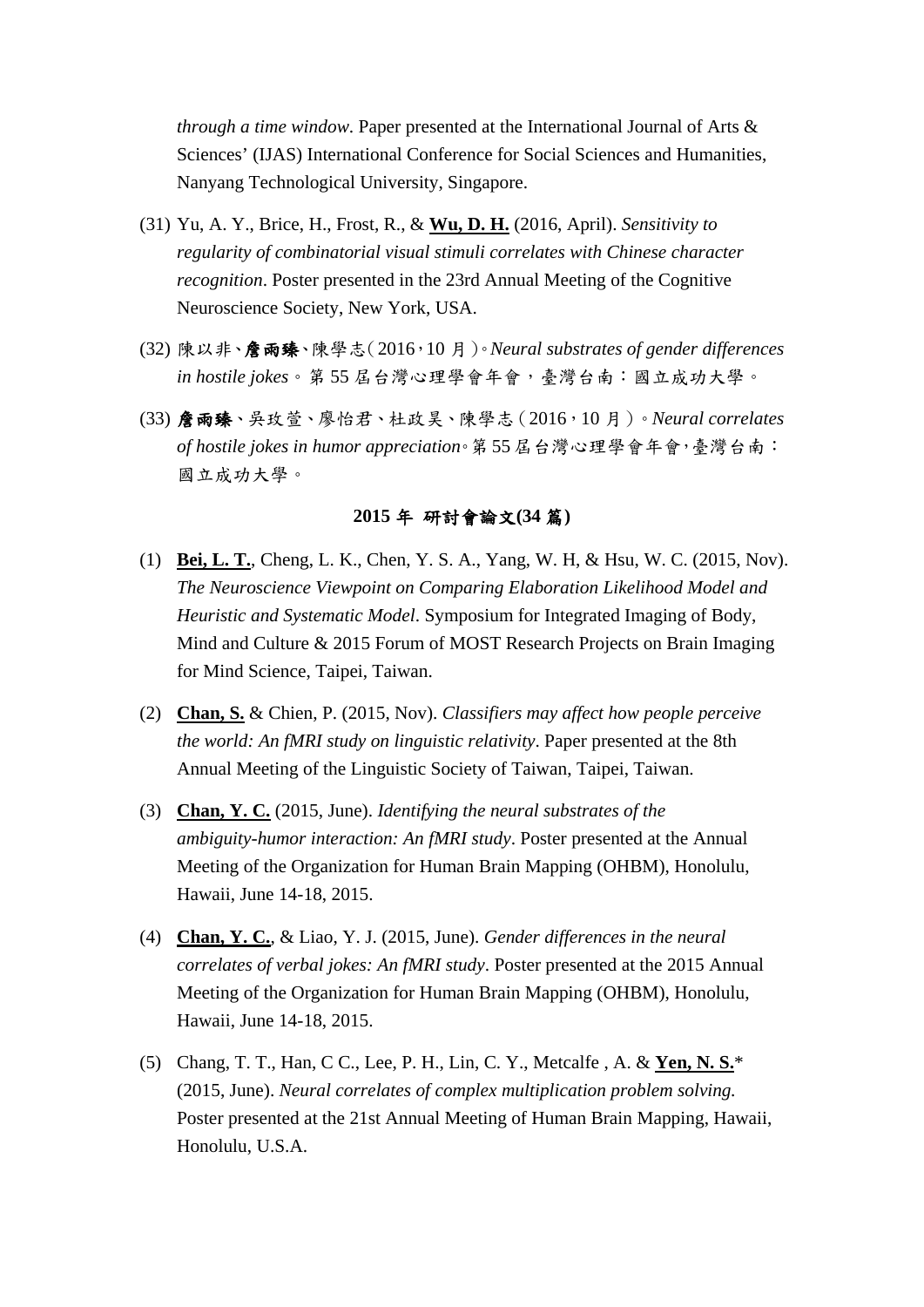*through a time window*. Paper presented at the International Journal of Arts & Sciences' (IJAS) International Conference for Social Sciences and Humanities, Nanyang Technological University, Singapore.

- (31) Yu, A. Y., Brice, H., Frost, R., & **Wu, D. H.** (2016, April). *Sensitivity to regularity of combinatorial visual stimuli correlates with Chinese character recognition*. Poster presented in the 23rd Annual Meeting of the Cognitive Neuroscience Society, New York, USA.
- (32) 陳以非、詹雨臻、陳學志(2016,10 月)。*Neural substrates of gender differences in hostile jokes*。第 55 屆台灣心理學會年會,臺灣台南:國立成功大學。
- (33) 詹雨臻、吳玫萱、廖怡君、杜政昊、陳學志(2016,10 月)。*Neural correlates of hostile jokes in humor appreciation*。第 55 屆台灣心理學會年會,臺灣台南: 國立成功大學。

#### **2015** 年 研討會論文**(34** 篇**)**

- (1) **Bei, L. T.**, Cheng, L. K., Chen, Y. S. A., Yang, W. H, & Hsu, W. C. (2015, Nov). *The Neuroscience Viewpoint on Comparing Elaboration Likelihood Model and Heuristic and Systematic Model*. Symposium for Integrated Imaging of Body, Mind and Culture & 2015 Forum of MOST Research Projects on Brain Imaging for Mind Science, Taipei, Taiwan.
- (2) **Chan, S.** & Chien, P. (2015, Nov). *Classifiers may affect how people perceive the world: An fMRI study on linguistic relativity*. Paper presented at the 8th Annual Meeting of the Linguistic Society of Taiwan, Taipei, Taiwan.
- (3) **Chan, Y. C.** (2015, June). *Identifying the neural substrates of the ambiguity-humor interaction: An fMRI study*. Poster presented at the Annual Meeting of the Organization for Human Brain Mapping (OHBM), Honolulu, Hawaii, June 14-18, 2015.
- (4) **Chan, Y. C.**, & Liao, Y. J. (2015, June). *Gender differences in the neural correlates of verbal jokes: An fMRI study*. Poster presented at the 2015 Annual Meeting of the Organization for Human Brain Mapping (OHBM), Honolulu, Hawaii, June 14-18, 2015.
- (5) Chang, T. T., Han, C C., Lee, P. H., Lin, C. Y., Metcalfe , A. & **Yen, N. S.**\* (2015, June). *Neural correlates of complex multiplication problem solving.* Poster presented at the 21st Annual Meeting of Human Brain Mapping, Hawaii, Honolulu, U.S.A.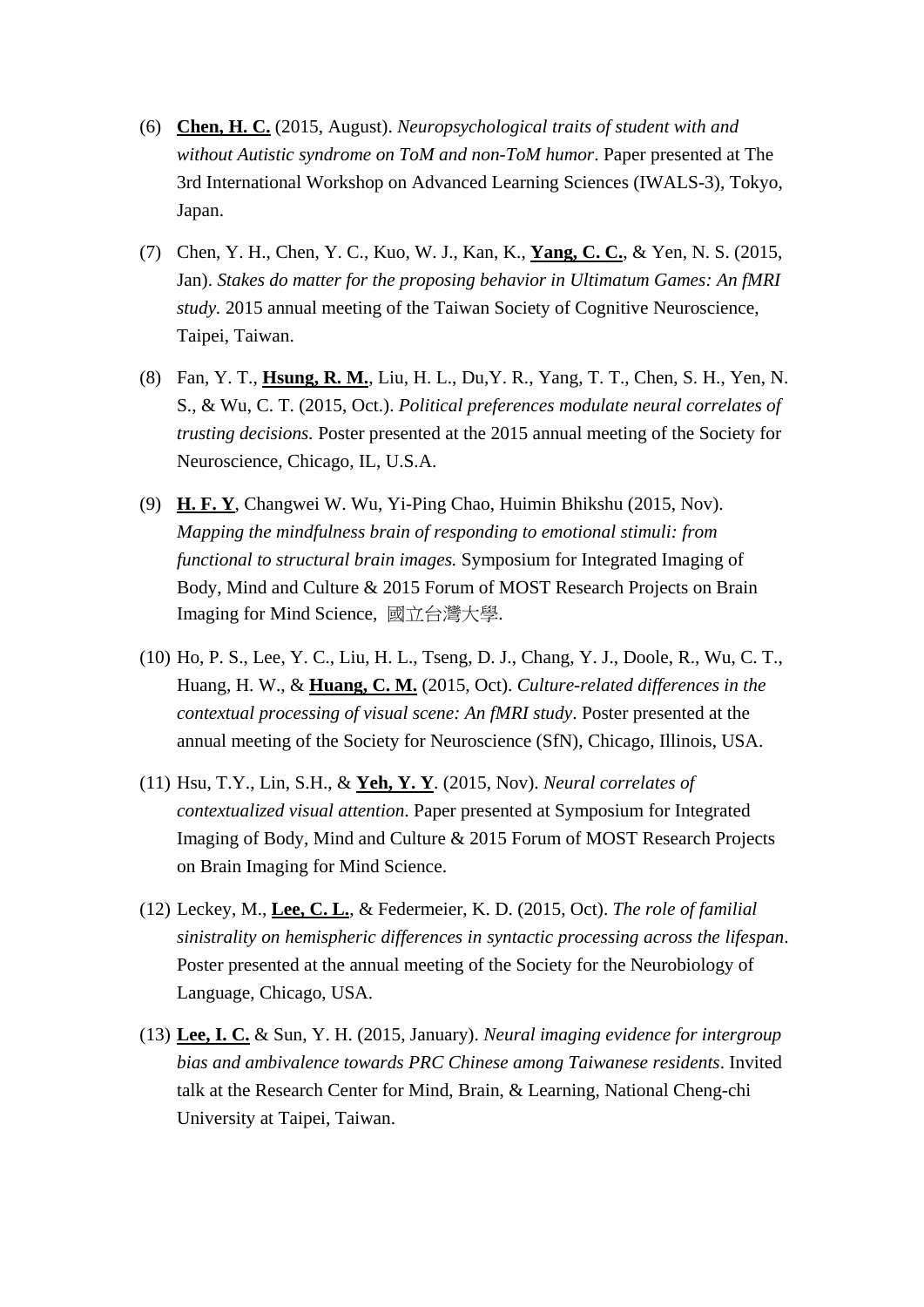- (6) **Chen, H. C.** (2015, August). *Neuropsychological traits of student with and without Autistic syndrome on ToM and non-ToM humor*. Paper presented at The 3rd International Workshop on Advanced Learning Sciences (IWALS-3), Tokyo, Japan.
- (7) Chen, Y. H., Chen, Y. C., Kuo, W. J., Kan, K., **Yang, C. C.**, & Yen, N. S. (2015, Jan). *Stakes do matter for the proposing behavior in Ultimatum Games: An fMRI study.* 2015 annual meeting of the Taiwan Society of Cognitive Neuroscience, Taipei, Taiwan.
- (8) Fan, Y. T., **Hsung, R. M.**, Liu, H. L., Du,Y. R., Yang, T. T., Chen, S. H., Yen, N. S., & Wu, C. T. (2015, Oct.). *Political preferences modulate neural correlates of trusting decisions.* Poster presented at the 2015 annual meeting of the Society for Neuroscience, Chicago, IL, U.S.A.
- (9) **H. F. Y**, Changwei W. Wu, Yi-Ping Chao, Huimin Bhikshu (2015, Nov). *Mapping the mindfulness brain of responding to emotional stimuli: from functional to structural brain images.* Symposium for Integrated Imaging of Body, Mind and Culture & 2015 Forum of MOST Research Projects on Brain Imaging for Mind Science, 國立台灣大學.
- (10) Ho, P. S., Lee, Y. C., Liu, H. L., Tseng, D. J., Chang, Y. J., Doole, R., Wu, C. T., Huang, H. W., & **Huang, C. M.** (2015, Oct). *Culture-related differences in the contextual processing of visual scene: An fMRI study*. Poster presented at the annual meeting of the Society for Neuroscience (SfN), Chicago, Illinois, USA.
- (11) Hsu, T.Y., Lin, S.H., & **Yeh, Y. Y**. (2015, Nov). *Neural correlates of contextualized visual attention*. Paper presented at Symposium for Integrated Imaging of Body, Mind and Culture & 2015 Forum of MOST Research Projects on Brain Imaging for Mind Science.
- (12) Leckey, M., **Lee, C. L.**, & Federmeier, K. D. (2015, Oct). *The role of familial sinistrality on hemispheric differences in syntactic processing across the lifespan*. Poster presented at the annual meeting of the Society for the Neurobiology of Language, Chicago, USA.
- (13) **Lee, I. C.** & Sun, Y. H. (2015, January). *Neural imaging evidence for intergroup bias and ambivalence towards PRC Chinese among Taiwanese residents*. Invited talk at the Research Center for Mind, Brain, & Learning, National Cheng-chi University at Taipei, Taiwan.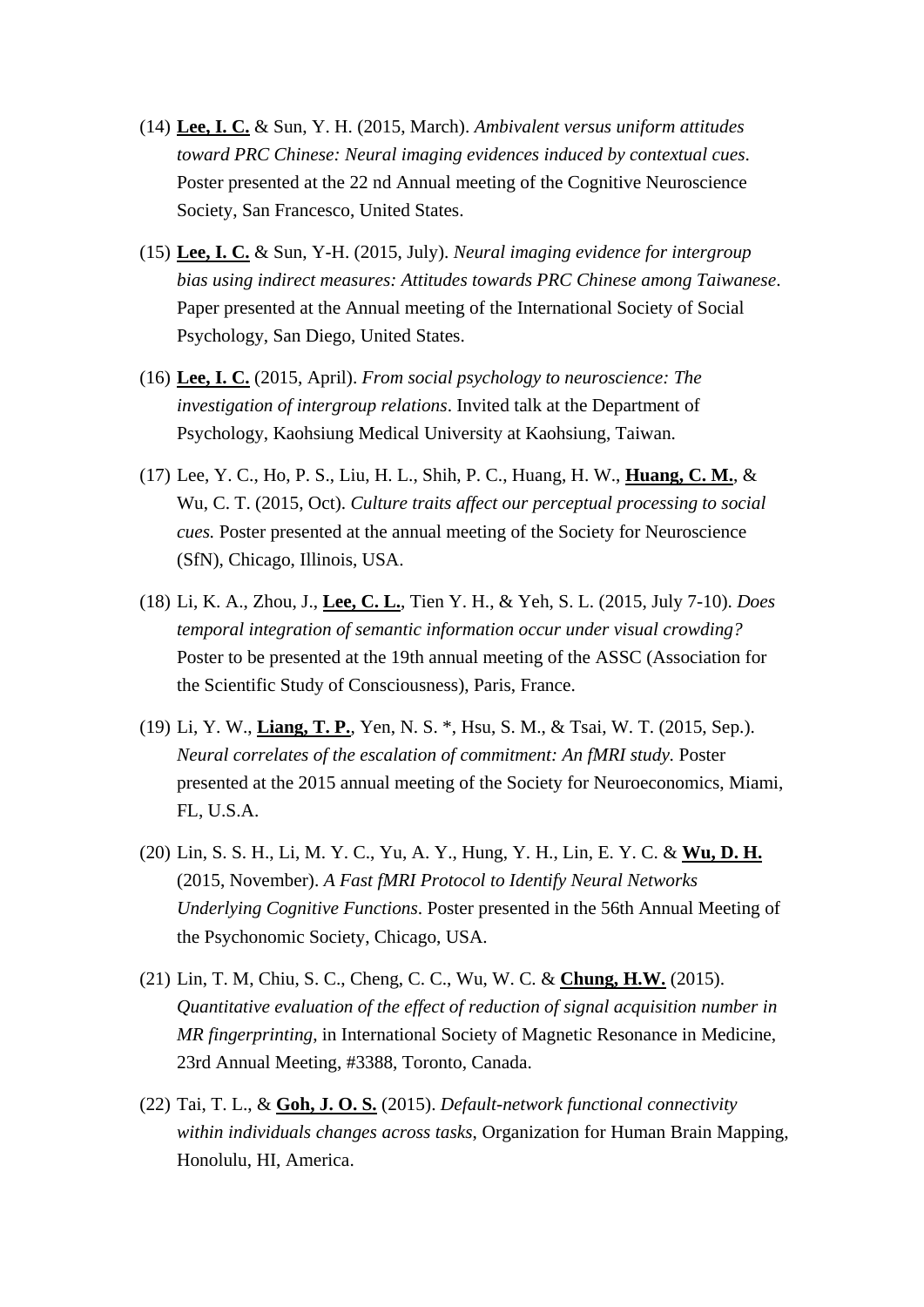- (14) **Lee, I. C.** & Sun, Y. H. (2015, March). *Ambivalent versus uniform attitudes toward PRC Chinese: Neural imaging evidences induced by contextual cues*. Poster presented at the 22 nd Annual meeting of the Cognitive Neuroscience Society, San Francesco, United States.
- (15) **Lee, I. C.** & Sun, Y-H. (2015, July). *Neural imaging evidence for intergroup bias using indirect measures: Attitudes towards PRC Chinese among Taiwanese*. Paper presented at the Annual meeting of the International Society of Social Psychology, San Diego, United States.
- (16) **Lee, I. C.** (2015, April). *From social psychology to neuroscience: The investigation of intergroup relations*. Invited talk at the Department of Psychology, Kaohsiung Medical University at Kaohsiung, Taiwan.
- (17) Lee, Y. C., Ho, P. S., Liu, H. L., Shih, P. C., Huang, H. W., **Huang, C. M.**, & Wu, C. T. (2015, Oct). *Culture traits affect our perceptual processing to social cues.* Poster presented at the annual meeting of the Society for Neuroscience (SfN), Chicago, Illinois, USA.
- (18) Li, K. A., Zhou, J., **Lee, C. L.**, Tien Y. H., & Yeh, S. L. (2015, July 7-10). *Does temporal integration of semantic information occur under visual crowding?* Poster to be presented at the 19th annual meeting of the ASSC (Association for the Scientific Study of Consciousness), Paris, France.
- (19) Li, Y. W., **Liang, T. P.**, Yen, N. S. \*, Hsu, S. M., & Tsai, W. T. (2015, Sep.). *Neural correlates of the escalation of commitment: An fMRI study.* Poster presented at the 2015 annual meeting of the Society for Neuroeconomics, Miami, FL, U.S.A.
- (20) Lin, S. S. H., Li, M. Y. C., Yu, A. Y., Hung, Y. H., Lin, E. Y. C. & **Wu, D. H.** (2015, November). *A Fast fMRI Protocol to Identify Neural Networks Underlying Cognitive Functions*. Poster presented in the 56th Annual Meeting of the Psychonomic Society, Chicago, USA.
- (21) Lin, T. M, Chiu, S. C., Cheng, C. C., Wu, W. C. & **Chung, H.W.** (2015). *Quantitative evaluation of the effect of reduction of signal acquisition number in MR fingerprinting*, in International Society of Magnetic Resonance in Medicine, 23rd Annual Meeting, #3388, Toronto, Canada.
- (22) Tai, T. L., & **Goh, J. O. S.** (2015). *Default-network functional connectivity within individuals changes across tasks*, Organization for Human Brain Mapping, Honolulu, HI, America.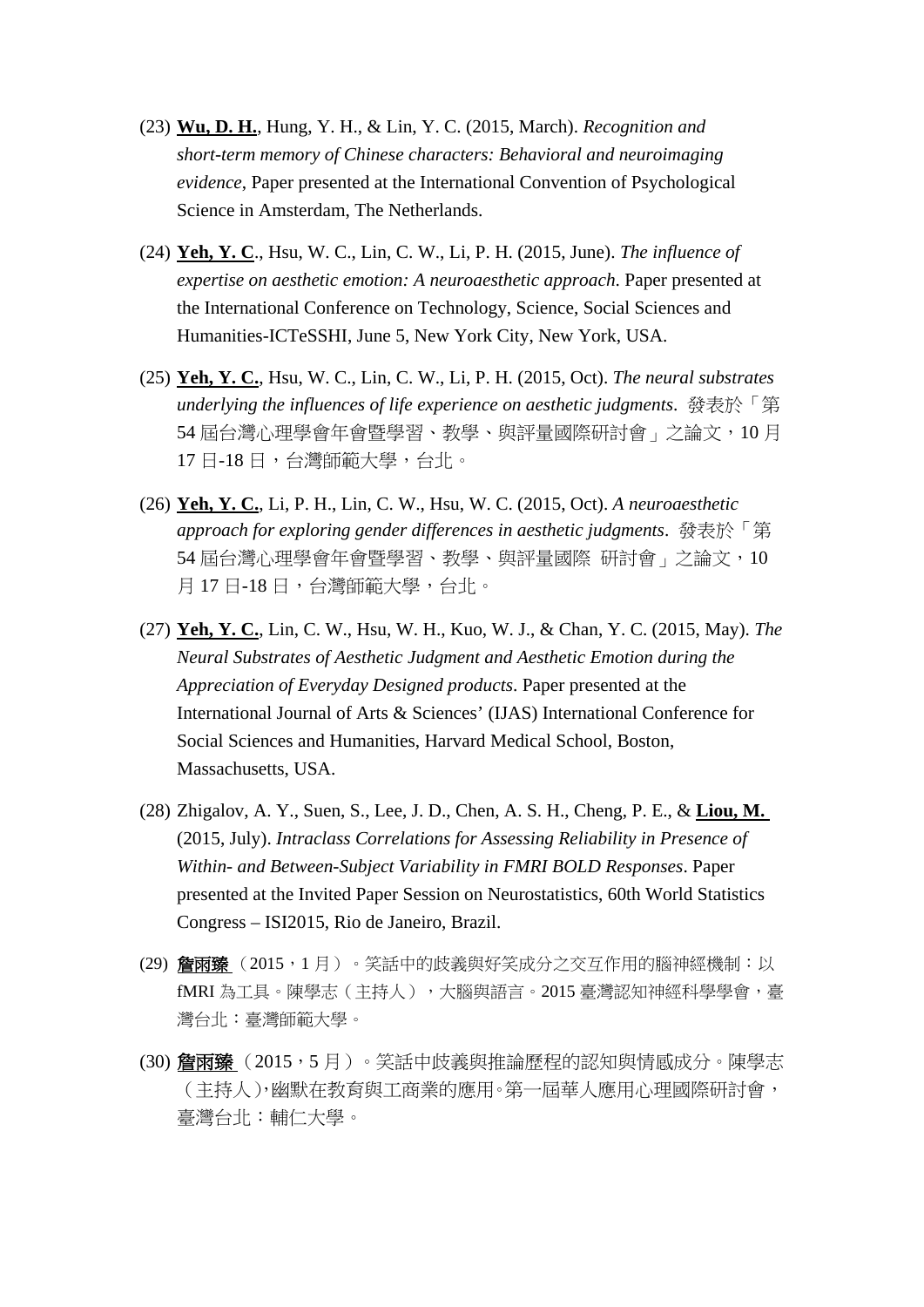- (23) **Wu, D. H.**, Hung, Y. H., & Lin, Y. C. (2015, March). *Recognition and short-term memory of Chinese characters: Behavioral and neuroimaging evidence*, Paper presented at the International Convention of Psychological Science in Amsterdam, The Netherlands.
- (24) **Yeh, Y. C**., Hsu, W. C., Lin, C. W., Li, P. H. (2015, June). *The influence of expertise on aesthetic emotion: A neuroaesthetic approach*. Paper presented at the International Conference on Technology, Science, Social Sciences and Humanities-ICTeSSHI, June 5, New York City, New York, USA.
- (25) **Yeh, Y. C.**, Hsu, W. C., Lin, C. W., Li, P. H. (2015, Oct). *The neural substrates underlying the influences of life experience on aesthetic judgments*. 發表於「第 54 屆台灣心理學會年會暨學習、教學、與評量國際研討會」之論文, 10月 17 日-18 日,台灣師範大學,台北。
- (26) **Yeh, Y. C.**, Li, P. H., Lin, C. W., Hsu, W. C. (2015, Oct). *A neuroaesthetic approach for exploring gender differences in aesthetic judgments*. 發表於「第 54 屆台灣心理學會年會暨學習、教學、與評量國際 研討會,之論文,10 月 17 日-18 日,台灣師範大學,台北。
- (27) **Yeh, Y. C.**, Lin, C. W., Hsu, W. H., Kuo, W. J., & Chan, Y. C. (2015, May). *The Neural Substrates of Aesthetic Judgment and Aesthetic Emotion during the Appreciation of Everyday Designed products*. Paper presented at the International Journal of Arts & Sciences' (IJAS) International Conference for Social Sciences and Humanities, Harvard Medical School, Boston, Massachusetts, USA.
- (28) Zhigalov, A. Y., Suen, S., Lee, J. D., Chen, A. S. H., Cheng, P. E., & **Liou, M.**  (2015, July). *Intraclass Correlations for Assessing Reliability in Presence of Within- and Between-Subject Variability in FMRI BOLD Responses*. Paper presented at the Invited Paper Session on Neurostatistics, 60th World Statistics Congress – ISI2015, Rio de Janeiro, Brazil.
- (29) 詹雨臻 (2015,1月)。笑話中的歧義與好笑成分之交互作用的腦神經機制:以 fMRI 為工具。陳學志(主持人),大腦與語言。2015 臺灣認知神經科學學會,臺 灣台北:臺灣師範大學。
- (30) 詹雨臻(2015,5月)。笑話中歧義與推論歷程的認知與情感成分。陳學志 (主持人),幽默在教育與工商業的應用。第一屆華人應用心理國際研討會, 臺灣台北:輔仁大學。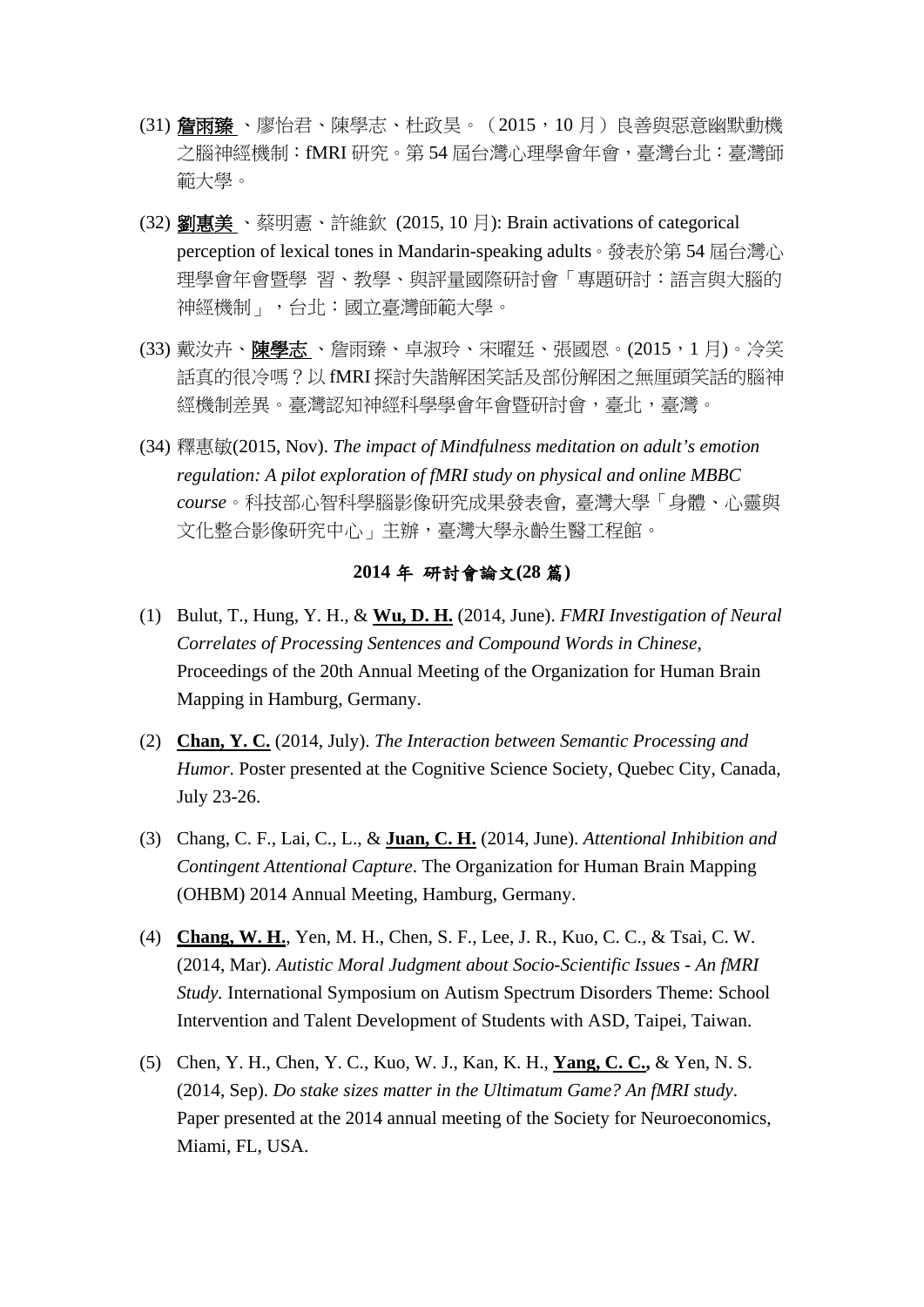- (31) 詹雨臻 、廖怡君、陳學志、杜政昊。(2015,10 月)良善與惡意幽默動機 之腦神經機制:fMRI 研究。第 54 屆台灣心理學會年會,臺灣台北:臺灣師 範大學。
- (32) 劉惠美 、蔡明憲、許維欽 (2015, 10 月): Brain activations of categorical perception of lexical tones in Mandarin-speaking adults。發表於第 54 屆台灣心 理學會年會暨學 習、教學、與評量國際研討會「專題研討:語言與大腦的 神經機制」,台北:國立臺灣師範大學。
- (33) 戴汝卉、陳學志 、詹雨臻、卓淑玲、宋曜廷、張國恩。(2015,1月)。冷笑 話真的很冷嗎?以 fMRI 探討失諧解困笑話及部份解困之無厘頭笑話的腦神 經機制差異。臺灣認知神經科學學會年會暨研討會,臺北,臺灣。
- (34) 釋惠敏(2015, Nov). *The impact of Mindfulness meditation on adult's emotion regulation: A pilot exploration of fMRI study on physical and online MBBC course*。科技部心智科學腦影像研究成果發表會, 臺灣大學「身體、心靈與 文化整合影像研究中心」主辦,臺灣大學永齡生醫工程館。

### **2014** 年 研討會論文**(28** 篇**)**

- (1) Bulut, T., Hung, Y. H., & **Wu, D. H.** (2014, June). *FMRI Investigation of Neural Correlates of Processing Sentences and Compound Words in Chinese*, Proceedings of the 20th Annual Meeting of the Organization for Human Brain Mapping in Hamburg, Germany.
- (2) **Chan, Y. C.** (2014, July). *The Interaction between Semantic Processing and Humor*. Poster presented at the Cognitive Science Society, Quebec City, Canada, July 23-26.
- (3) Chang, C. F., Lai, C., L., & **Juan, C. H.** (2014, June). *Attentional Inhibition and Contingent Attentional Capture*. The Organization for Human Brain Mapping (OHBM) 2014 Annual Meeting, Hamburg, Germany.
- (4) **Chang, W. H.**, Yen, M. H., Chen, S. F., Lee, J. R., Kuo, C. C., & Tsai, C. W. (2014, Mar). *Autistic Moral Judgment about Socio-Scientific Issues - An fMRI Study.* International Symposium on Autism Spectrum Disorders Theme: School Intervention and Talent Development of Students with ASD, Taipei, Taiwan.
- (5) Chen, Y. H., Chen, Y. C., Kuo, W. J., Kan, K. H., **Yang, C. C.,** & Yen, N. S. (2014, Sep). *Do stake sizes matter in the Ultimatum Game? An fMRI study*. Paper presented at the 2014 annual meeting of the Society for Neuroeconomics, Miami, FL, USA.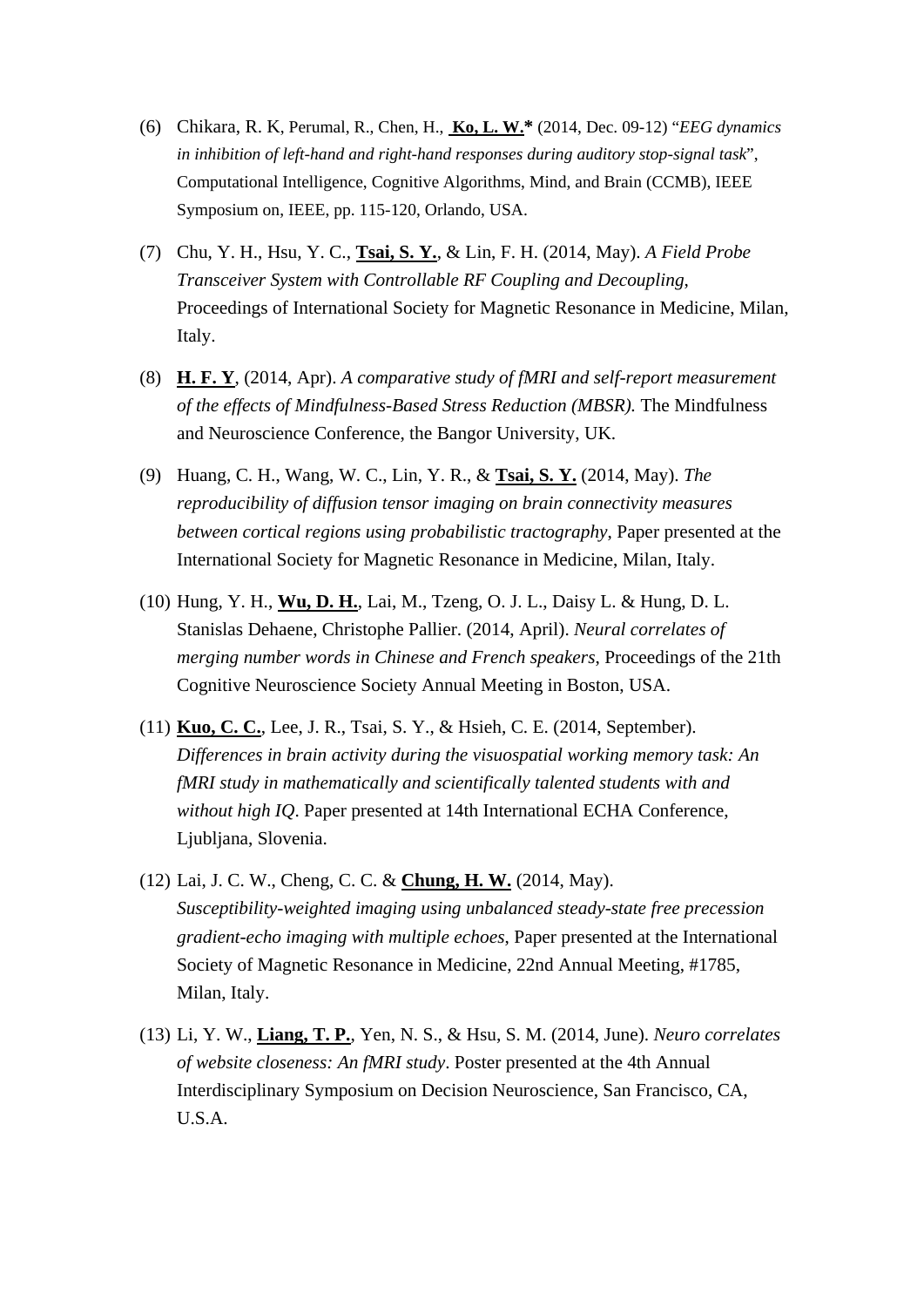- (6) Chikara, R. K, Perumal, R., Chen, H., **Ko, L. W.\*** (2014, Dec. 09-12) "*EEG dynamics in inhibition of left-hand and right-hand responses during auditory stop-signal task*", Computational Intelligence, Cognitive Algorithms, Mind, and Brain (CCMB), IEEE Symposium on, IEEE, pp. 115-120, Orlando, USA.
- (7) Chu, Y. H., Hsu, Y. C., **Tsai, S. Y.**, & Lin, F. H. (2014, May). *A Field Probe Transceiver System with Controllable RF Coupling and Decoupling*, Proceedings of International Society for Magnetic Resonance in Medicine, Milan, Italy.
- (8) **H. F. Y**, (2014, Apr). *A comparative study of fMRI and self-report measurement of the effects of Mindfulness-Based Stress Reduction (MBSR).* The Mindfulness and Neuroscience Conference, the Bangor University, UK.
- (9) Huang, C. H., Wang, W. C., Lin, Y. R., & **Tsai, S. Y.** (2014, May). *The reproducibility of diffusion tensor imaging on brain connectivity measures between cortical regions using probabilistic tractography*, Paper presented at the International Society for Magnetic Resonance in Medicine, Milan, Italy.
- (10) Hung, Y. H., **Wu, D. H.**, Lai, M., Tzeng, O. J. L., Daisy L. & Hung, D. L. Stanislas Dehaene, Christophe Pallier. (2014, April). *Neural correlates of merging number words in Chinese and French speakers*, Proceedings of the 21th Cognitive Neuroscience Society Annual Meeting in Boston, USA.
- (11) **Kuo, C. C.**, Lee, J. R., Tsai, S. Y., & Hsieh, C. E. (2014, September). *Differences in brain activity during the visuospatial working memory task: An fMRI study in mathematically and scientifically talented students with and without high IQ*. Paper presented at 14th International ECHA Conference, Ljubljana, Slovenia.
- (12) Lai, J. C. W., Cheng, C. C. & **Chung, H. W.** (2014, May). *Susceptibility-weighted imaging using unbalanced steady-state free precession gradient-echo imaging with multiple echoes*, Paper presented at the International Society of Magnetic Resonance in Medicine, 22nd Annual Meeting, #1785, Milan, Italy.
- (13) Li, Y. W., **Liang, T. P.**, Yen, N. S., & Hsu, S. M. (2014, June). *Neuro correlates of website closeness: An fMRI study*. Poster presented at the 4th Annual Interdisciplinary Symposium on Decision Neuroscience, San Francisco, CA, U.S.A.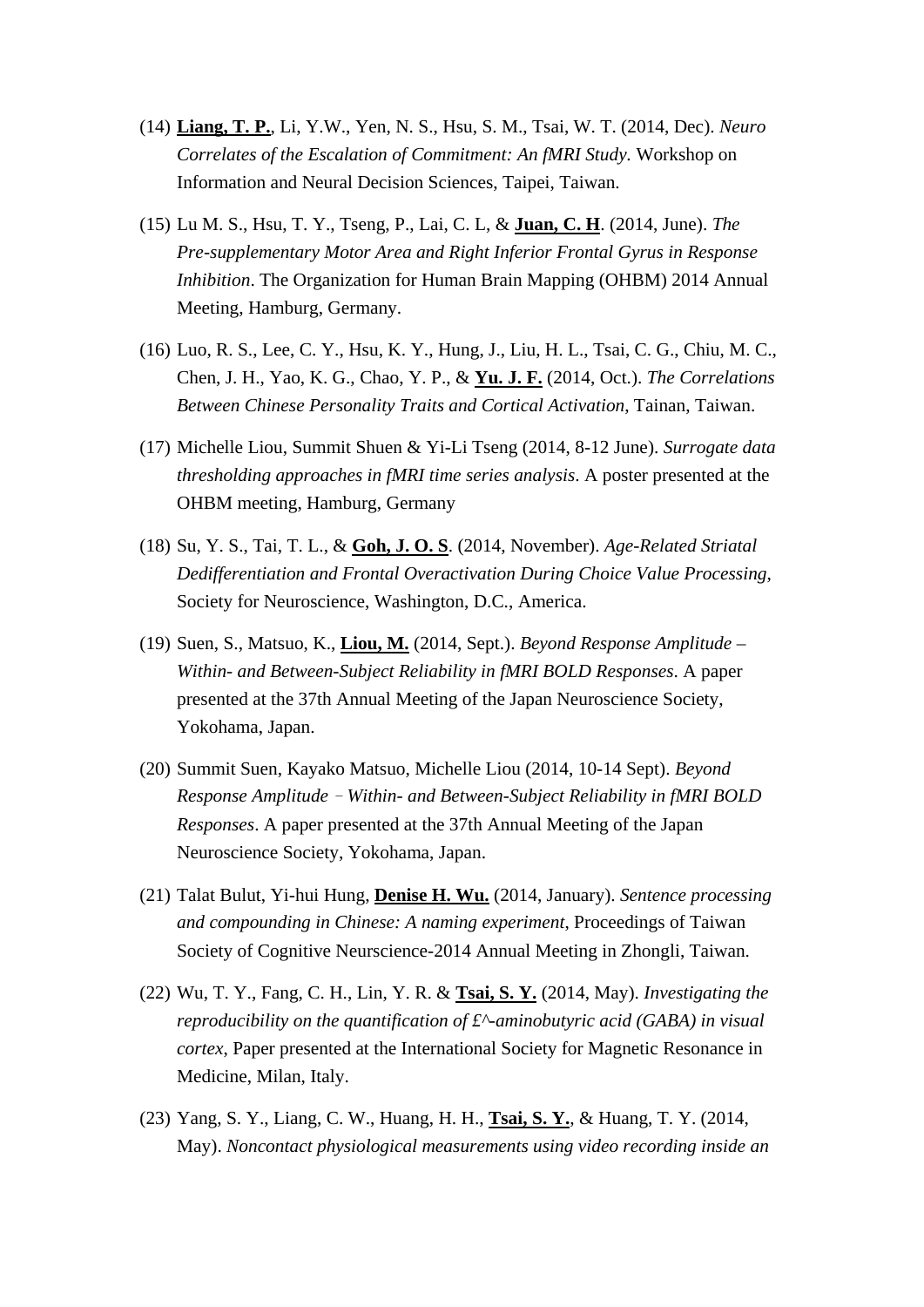- (14) **Liang, T. P.**, Li, Y.W., Yen, N. S., Hsu, S. M., Tsai, W. T. (2014, Dec). *Neuro Correlates of the Escalation of Commitment: An fMRI Study.* Workshop on Information and Neural Decision Sciences, Taipei, Taiwan.
- (15) Lu M. S., Hsu, T. Y., Tseng, P., Lai, C. L, & **Juan, C. H**. (2014, June). *The Pre-supplementary Motor Area and Right Inferior Frontal Gyrus in Response Inhibition*. The Organization for Human Brain Mapping (OHBM) 2014 Annual Meeting, Hamburg, Germany.
- (16) Luo, R. S., Lee, C. Y., Hsu, K. Y., Hung, J., Liu, H. L., Tsai, C. G., Chiu, M. C., Chen, J. H., Yao, K. G., Chao, Y. P., & **Yu. J. F.** (2014, Oct.). *The Correlations Between Chinese Personality Traits and Cortical Activation*, Tainan, Taiwan.
- (17) Michelle Liou, Summit Shuen & Yi-Li Tseng (2014, 8-12 June). *Surrogate data thresholding approaches in fMRI time series analysis*. A poster presented at the OHBM meeting, Hamburg, Germany
- (18) Su, Y. S., Tai, T. L., & **Goh, J. O. S**. (2014, November). *Age-Related Striatal Dedifferentiation and Frontal Overactivation During Choice Value Processing*, Society for Neuroscience, Washington, D.C., America.
- (19) Suen, S., Matsuo, K., **Liou, M.** (2014, Sept.). *Beyond Response Amplitude – Within- and Between-Subject Reliability in fMRI BOLD Responses*. A paper presented at the 37th Annual Meeting of the Japan Neuroscience Society, Yokohama, Japan.
- (20) Summit Suen, Kayako Matsuo, Michelle Liou (2014, 10-14 Sept). *Beyond Response Amplitude*–*Within- and Between-Subject Reliability in fMRI BOLD Responses*. A paper presented at the 37th Annual Meeting of the Japan Neuroscience Society, Yokohama, Japan.
- (21) Talat Bulut, Yi-hui Hung, **Denise H. Wu.** (2014, January). *Sentence processing and compounding in Chinese: A naming experiment*, Proceedings of Taiwan Society of Cognitive Neurscience-2014 Annual Meeting in Zhongli, Taiwan.
- (22) Wu, T. Y., Fang, C. H., Lin, Y. R. & **Tsai, S. Y.** (2014, May). *Investigating the reproducibility on the quantification of £^-aminobutyric acid (GABA) in visual cortex*, Paper presented at the International Society for Magnetic Resonance in Medicine, Milan, Italy.
- (23) Yang, S. Y., Liang, C. W., Huang, H. H., **Tsai, S. Y.**, & Huang, T. Y. (2014, May). *Noncontact physiological measurements using video recording inside an*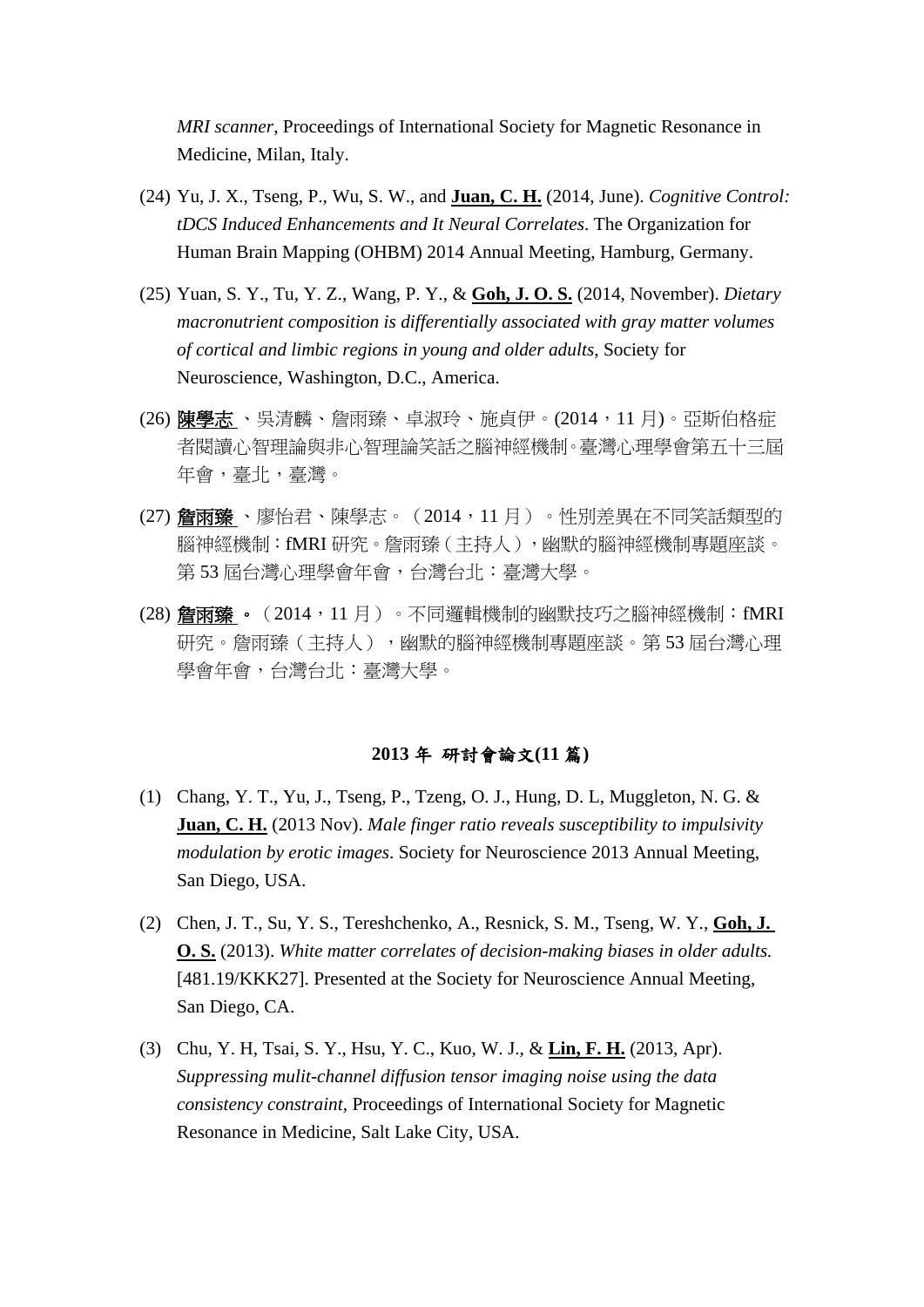*MRI scanner*, Proceedings of International Society for Magnetic Resonance in Medicine, Milan, Italy.

- (24) Yu, J. X., Tseng, P., Wu, S. W., and **Juan, C. H.** (2014, June). *Cognitive Control: tDCS Induced Enhancements and It Neural Correlates*. The Organization for Human Brain Mapping (OHBM) 2014 Annual Meeting, Hamburg, Germany.
- (25) Yuan, S. Y., Tu, Y. Z., Wang, P. Y., & **Goh, J. O. S.** (2014, November). *Dietary macronutrient composition is differentially associated with gray matter volumes of cortical and limbic regions in young and older adults*, Society for Neuroscience, Washington, D.C., America.
- (26) 陳學志、吳清麟、詹雨臻、卓淑玲、施貞伊。(2014,11月)。亞斯伯格症 者閱讀心智理論與非心智理論笑話之腦神經機制。臺灣心理學會第五十三屆 年會,臺北,臺灣。
- (27) 詹雨臻、廖怡君、陳學志。(2014,11月) 。性別差異在不同笑話類型的 腦神經機制: fMRI 研究。詹雨臻(主持人),幽默的腦神經機制專題座談。 第 53 屆台灣心理學會年會,台灣台北:臺灣大學。
- (28) 詹雨臻 。 (2014,11 月 ) 。不同邏輯機制的幽默技巧之腦神經機制:fMRI 研究。詹雨臻(主持人),幽默的腦神經機制專題座談。第 53 屆台灣心理 學會年會,台灣台北:臺灣大學。

#### **2013** 年 研討會論文**(11** 篇**)**

- (1) Chang, Y. T., Yu, J., Tseng, P., Tzeng, O. J., Hung, D. L, Muggleton, N. G. & **Juan, C. H.** (2013 Nov). *Male finger ratio reveals susceptibility to impulsivity modulation by erotic images*. Society for Neuroscience 2013 Annual Meeting, San Diego, USA.
- (2) Chen, J. T., Su, Y. S., Tereshchenko, A., Resnick, S. M., Tseng, W. Y., **Goh, J. O. S.** (2013). *White matter correlates of decision-making biases in older adults.*  [481.19/KKK27]. Presented at the Society for Neuroscience Annual Meeting, San Diego, CA.
- (3) Chu, Y. H, Tsai, S. Y., Hsu, Y. C., Kuo, W. J., & **Lin, F. H.** (2013, Apr). *Suppressing mulit-channel diffusion tensor imaging noise using the data consistency constraint*, Proceedings of International Society for Magnetic Resonance in Medicine, Salt Lake City, USA.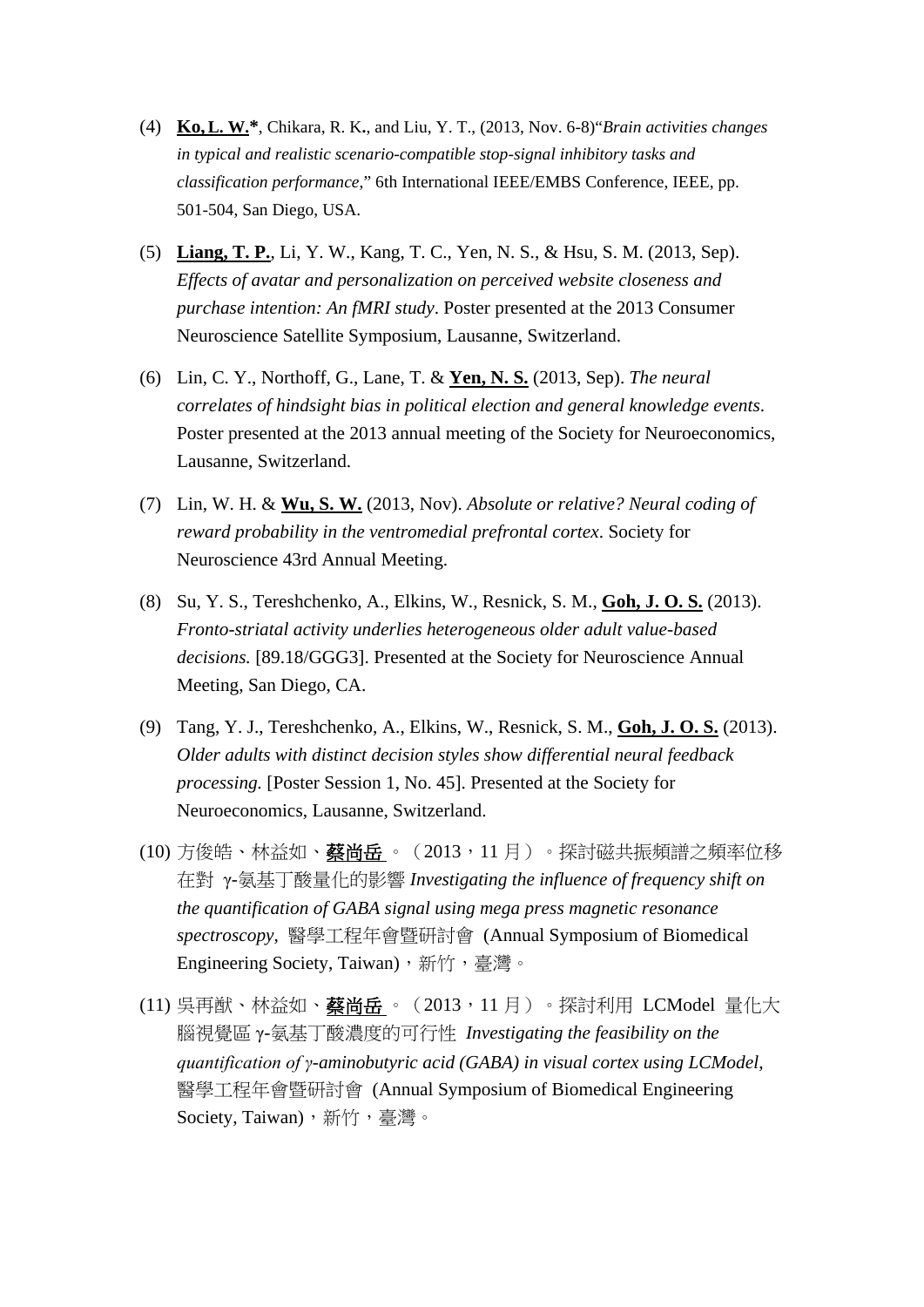- (4) **Ko,L. W.\***, Chikara, R. K**.**, and Liu, Y. T., (2013, Nov. 6-8)"*Brain activities changes in typical and realistic scenario-compatible stop-signal inhibitory tasks and classification performance*," 6th International IEEE/EMBS Conference, IEEE, pp. 501-504, San Diego, USA.
- (5) **Liang, T. P.**, Li, Y. W., Kang, T. C., Yen, N. S., & Hsu, S. M. (2013, Sep). *Effects of avatar and personalization on perceived website closeness and purchase intention: An fMRI study*. Poster presented at the 2013 Consumer Neuroscience Satellite Symposium, Lausanne, Switzerland.
- (6) Lin, C. Y., Northoff, G., Lane, T. & **Yen, N. S.** (2013, Sep). *The neural correlates of hindsight bias in political election and general knowledge events*. Poster presented at the 2013 annual meeting of the Society for Neuroeconomics, Lausanne, Switzerland.
- (7) Lin, W. H. & **Wu, S. W.** (2013, Nov). *Absolute or relative? Neural coding of reward probability in the ventromedial prefrontal cortex*. Society for Neuroscience 43rd Annual Meeting.
- (8) Su, Y. S., Tereshchenko, A., Elkins, W., Resnick, S. M., **Goh, J. O. S.** (2013). *Fronto-striatal activity underlies heterogeneous older adult value-based decisions.* [89.18/GGG3]. Presented at the Society for Neuroscience Annual Meeting, San Diego, CA.
- (9) Tang, Y. J., Tereshchenko, A., Elkins, W., Resnick, S. M., **Goh, J. O. S.** (2013). *Older adults with distinct decision styles show differential neural feedback processing.* [Poster Session 1, No. 45]. Presented at the Society for Neuroeconomics, Lausanne, Switzerland.
- (10) 方俊皓、林益如、蔡尚岳 。 (2013, 11 月) 。探討磁共振頻譜之頻率位移 在對 γ-氨基丁酸量化的影響 *Investigating the influence of frequency shift on the quantification of GABA signal using mega press magnetic resonance spectroscopy*, 醫學工程年會暨研討會 (Annual Symposium of Biomedical Engineering Society, Taiwan), 新竹, 臺灣。
- (11) 吳再猷、林益如、**蔡尚岳** 。 (2013,11 月) 。探討利用 LCModel 量化大 腦視覺區 γ-氨基丁酸濃度的可行性 *Investigating the feasibility on the quantification of γ-aminobutyric acid (GABA) in visual cortex using LCModel*, 醫學工程年會暨研討會 (Annual Symposium of Biomedical Engineering Society, Taiwan), 新竹, 臺灣。